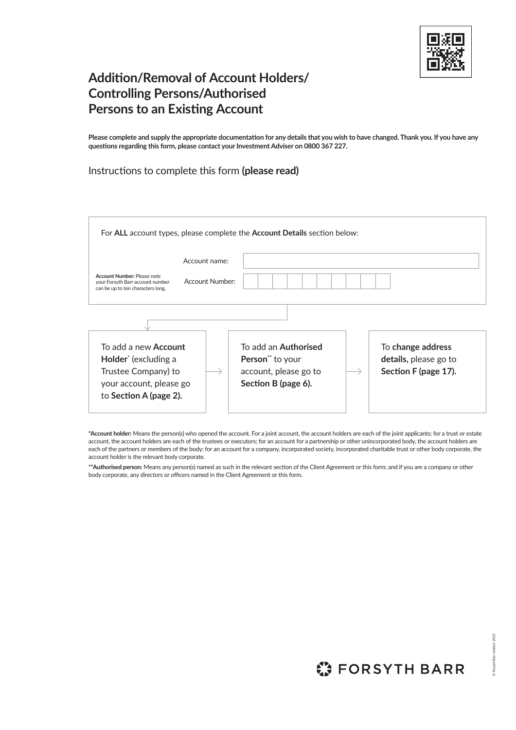

# **Addition/Removal of Account Holders/ Controlling Persons/Authorised Persons to an Existing Account**

**Please complete and supply the appropriate documentation for any details that you wish to have changed. Thank you. If you have any questions regarding this form, please contact your Investment Adviser on 0800 367 227.** 

# Instructions to complete this form **(please read)**

| For ALL account types, please complete the Account Details section below:                                                                   |  |                                                                                                 |  |                                                                    |  |  |
|---------------------------------------------------------------------------------------------------------------------------------------------|--|-------------------------------------------------------------------------------------------------|--|--------------------------------------------------------------------|--|--|
| Account name:<br>Account Number: Please note<br>Account Number:<br>your Forsyth Barr account number<br>can be up to ten characters long.    |  |                                                                                                 |  |                                                                    |  |  |
| To add a new <b>Account</b><br>Holder <sup>*</sup> (excluding a<br>Trustee Company) to<br>your account, please go<br>to Section A (page 2). |  | To add an <b>Authorised</b><br>Person** to your<br>account, please go to<br>Section B (page 6). |  | To change address<br>details, please go to<br>Section F (page 17). |  |  |

**\*Account holder:** Means the person(s) who opened the account. For a joint account, the account holders are each of the joint applicants; for a trust or estate account, the account holders are each of the trustees or executors; for an account for a partnership or other unincorporated body, the account holders are each of the partners or members of the body; for an account for a company, incorporated society, incorporated charitable trust or other body corporate, the account holder is the relevant body corporate.

**\*\*Authorised person:** Means any person(s) named as such in the relevant section of the Client Agreement or this form; and if you are a company or other body corporate, any directors or officers named in the Client Agreement or this form.

**C: FORSYTH BARR**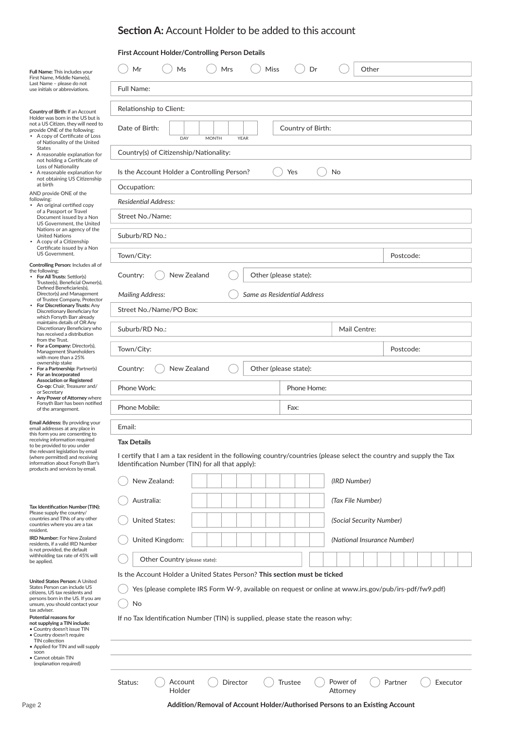| Full Name: This includes your                                                                                                                                                                                               | Mr<br>Mrs<br>Miss<br>Dr<br>Ms                                                                                                                                           | Other                    |                             |          |  |  |  |  |
|-----------------------------------------------------------------------------------------------------------------------------------------------------------------------------------------------------------------------------|-------------------------------------------------------------------------------------------------------------------------------------------------------------------------|--------------------------|-----------------------------|----------|--|--|--|--|
| First Name, Middle Name(s),<br>Last Name - please do not<br>use initials or abbreviations.                                                                                                                                  | <b>Full Name:</b>                                                                                                                                                       |                          |                             |          |  |  |  |  |
| Country of Birth: If an Account                                                                                                                                                                                             | Relationship to Client:                                                                                                                                                 |                          |                             |          |  |  |  |  |
| Holder was born in the US but is<br>not a US Citizen, they will need to<br>provide ONE of the following:<br>• A copy of Certificate of Loss<br>of Nationality of the United                                                 | Date of Birth:<br>Country of Birth:<br>DAY<br><b>MONTH</b><br><b>YEAR</b>                                                                                               |                          |                             |          |  |  |  |  |
| <b>States</b><br>• A reasonable explanation for                                                                                                                                                                             | Country(s) of Citizenship/Nationality:                                                                                                                                  |                          |                             |          |  |  |  |  |
| not holding a Certificate of<br>Loss of Nationality<br>• A reasonable explanation for                                                                                                                                       | Is the Account Holder a Controlling Person?<br>Yes<br>No                                                                                                                |                          |                             |          |  |  |  |  |
| not obtaining US Citizenship<br>at birth<br>AND provide ONE of the                                                                                                                                                          | Occupation:                                                                                                                                                             |                          |                             |          |  |  |  |  |
| following:<br>• An original certified copy                                                                                                                                                                                  | <b>Residential Address:</b>                                                                                                                                             |                          |                             |          |  |  |  |  |
| of a Passport or Travel<br>Document issued by a Non<br>US Government, the United                                                                                                                                            | Street No./Name:                                                                                                                                                        |                          |                             |          |  |  |  |  |
| Nations or an agency of the<br><b>United Nations</b><br>A copy of a Citizenship<br>Certificate issued by a Non                                                                                                              | Suburb/RD No.:                                                                                                                                                          |                          |                             |          |  |  |  |  |
| US Government.                                                                                                                                                                                                              | Town/City:                                                                                                                                                              |                          | Postcode:                   |          |  |  |  |  |
| Controlling Person: Includes all of<br>the following;<br>• For All Trusts: Settlor(s)<br>Trustee(s), Beneficial Owner(s),                                                                                                   | Country:<br>New Zealand<br>Other (please state):                                                                                                                        |                          |                             |          |  |  |  |  |
| Defined Beneficiaries(s),<br>Director(s) and Management<br>of Trustee Company, Protector                                                                                                                                    | Same as Residential Address<br><b>Mailing Address:</b>                                                                                                                  |                          |                             |          |  |  |  |  |
| For Discretionary Trusts: Any<br>Discretionary Beneficiary for<br>which Forsyth Barr already                                                                                                                                | Street No./Name/PO Box:                                                                                                                                                 |                          |                             |          |  |  |  |  |
| maintains details of OR Any<br>Discretionary Beneficiary who<br>has received a distribution<br>from the Trust.                                                                                                              | Suburb/RD No.:                                                                                                                                                          | Mail Centre:             |                             |          |  |  |  |  |
| For a Company: Director(s),<br>Management Shareholders<br>with more than a 25%                                                                                                                                              | Town/City:                                                                                                                                                              |                          | Postcode:                   |          |  |  |  |  |
| ownership stake<br>For a Partnership: Partner(s)<br>For an Incorporated                                                                                                                                                     | New Zealand<br>Other (please state):<br>Country:<br>Phone Work:<br>Phone Home:                                                                                          |                          |                             |          |  |  |  |  |
| <b>Association or Registered</b><br>Co-op: Chair, Treasurer and/<br>or Secretary                                                                                                                                            |                                                                                                                                                                         |                          |                             |          |  |  |  |  |
| Any Power of Attorney where<br>Forsyth Barr has been notified<br>of the arrangement.                                                                                                                                        | Phone Mobile:<br>Fax:                                                                                                                                                   |                          |                             |          |  |  |  |  |
| Email Address: By providing your<br>email addresses at any place in                                                                                                                                                         | Email:                                                                                                                                                                  |                          |                             |          |  |  |  |  |
| this form you are consenting to<br>receiving information required<br>to be provided to you under                                                                                                                            | <b>Tax Details</b>                                                                                                                                                      |                          |                             |          |  |  |  |  |
| the relevant legislation by email<br>(where permitted) and receiving<br>information about Forsyth Barr's<br>products and services by email.                                                                                 | I certify that I am a tax resident in the following country/countries (please select the country and supply the Tax<br>Identification Number (TIN) for all that apply): |                          |                             |          |  |  |  |  |
|                                                                                                                                                                                                                             | New Zealand:                                                                                                                                                            | (IRD Number)             |                             |          |  |  |  |  |
|                                                                                                                                                                                                                             | Australia:                                                                                                                                                              | (Tax File Number)        |                             |          |  |  |  |  |
| Tax Identification Number (TIN):<br>Please supply the country/<br>countries and TINs of any other<br>countries where you are a tax                                                                                          | <b>United States:</b>                                                                                                                                                   | (Social Security Number) |                             |          |  |  |  |  |
| resident.<br>IRD Number: For New Zealand<br>residents, if a valid IRD Number                                                                                                                                                | United Kingdom:                                                                                                                                                         |                          | (National Insurance Number) |          |  |  |  |  |
| is not provided, the default<br>withholding tax rate of 45% will<br>be applied.                                                                                                                                             | Other Country (please state):                                                                                                                                           |                          |                             |          |  |  |  |  |
|                                                                                                                                                                                                                             | Is the Account Holder a United States Person? This section must be ticked                                                                                               |                          |                             |          |  |  |  |  |
| United States Person: A United<br>States Person can include US<br>citizens, US tax residents and<br>persons born in the US. If you are                                                                                      | Yes (please complete IRS Form W-9, available on request or online at www.irs.gov/pub/irs-pdf/fw9.pdf)                                                                   |                          |                             |          |  |  |  |  |
| unsure, you should contact your<br>tax adviser.<br>Potential reasons for<br>not supplying a TIN include:<br>• Country doesn't issue TIN<br>· Country doesn't require<br>TIN collection<br>• Applied for TIN and will supply | No<br>If no Tax Identification Number (TIN) is supplied, please state the reason why:                                                                                   |                          |                             |          |  |  |  |  |
| soon<br>• Cannot obtain TIN<br>(explanation required)                                                                                                                                                                       |                                                                                                                                                                         |                          |                             |          |  |  |  |  |
|                                                                                                                                                                                                                             | Status:<br>Director<br>Power of<br>Account<br>Trustee<br>Holder<br>Attorney                                                                                             |                          | Partner                     | Executor |  |  |  |  |
| Page 2                                                                                                                                                                                                                      | Addition/Removal of Account Holder/Authorised Persons to an Existing Account                                                                                            |                          |                             |          |  |  |  |  |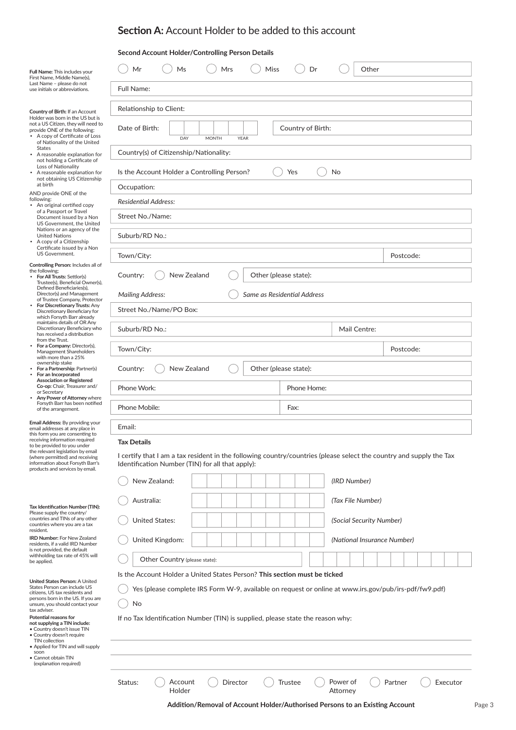|                                                                                                                                                                                                                                                    | Second Account Holder/Controlling Person Details |                                                                                 |                                                                                                                     |                     |  |  |  |
|----------------------------------------------------------------------------------------------------------------------------------------------------------------------------------------------------------------------------------------------------|--------------------------------------------------|---------------------------------------------------------------------------------|---------------------------------------------------------------------------------------------------------------------|---------------------|--|--|--|
| <b>Full Name: This includes your</b><br>First Name, Middle Name(s),                                                                                                                                                                                | Mr<br>Ms                                         | Miss<br>Mrs                                                                     | Dr<br>Other                                                                                                         |                     |  |  |  |
| Last Name - please do not<br>use initials or abbreviations.                                                                                                                                                                                        | <b>Full Name:</b>                                |                                                                                 |                                                                                                                     |                     |  |  |  |
| Country of Birth: If an Account                                                                                                                                                                                                                    | Relationship to Client:                          |                                                                                 |                                                                                                                     |                     |  |  |  |
| Holder was born in the US but is<br>not a US Citizen, they will need to<br>provide ONE of the following:<br>• A copy of Certificate of Loss<br>of Nationality of the United                                                                        | Date of Birth:<br>DAY                            | <b>MONTH</b><br><b>YEAR</b>                                                     | Country of Birth:                                                                                                   |                     |  |  |  |
| <b>States</b><br>• A reasonable explanation for                                                                                                                                                                                                    | Country(s) of Citizenship/Nationality:           |                                                                                 |                                                                                                                     |                     |  |  |  |
| not holding a Certificate of<br>Loss of Nationality<br>• A reasonable explanation for                                                                                                                                                              | Is the Account Holder a Controlling Person?      |                                                                                 | Yes<br>No                                                                                                           |                     |  |  |  |
| not obtaining US Citizenship<br>at birth                                                                                                                                                                                                           | Occupation:                                      |                                                                                 |                                                                                                                     |                     |  |  |  |
| AND provide ONE of the<br>following:                                                                                                                                                                                                               | <b>Residential Address:</b>                      |                                                                                 |                                                                                                                     |                     |  |  |  |
| • An original certified copy<br>of a Passport or Travel<br>Document issued by a Non<br>US Government, the United                                                                                                                                   | Street No./Name:                                 |                                                                                 |                                                                                                                     |                     |  |  |  |
| Nations or an agency of the<br><b>United Nations</b><br>• A copy of a Citizenship                                                                                                                                                                  | Suburb/RD No.:                                   |                                                                                 |                                                                                                                     |                     |  |  |  |
| Certificate issued by a Non<br>US Government.                                                                                                                                                                                                      | Town/City:                                       |                                                                                 |                                                                                                                     | Postcode:           |  |  |  |
| Controlling Person: Includes all of<br>the following:<br>For All Trusts: Settlor(s)<br>$\bullet$                                                                                                                                                   | New Zealand<br>Country:                          |                                                                                 | Other (please state):                                                                                               |                     |  |  |  |
| Trustee(s), Beneficial Owner(s),<br>Defined Beneficiaries(s),<br>Director(s) and Management                                                                                                                                                        | <b>Mailing Address:</b>                          |                                                                                 | Same as Residential Address                                                                                         |                     |  |  |  |
| of Trustee Company, Protector<br>For Discretionary Trusts: Any<br>Discretionary Beneficiary for                                                                                                                                                    | Street No./Name/PO Box:                          |                                                                                 |                                                                                                                     |                     |  |  |  |
| which Forsyth Barr already<br>maintains details of OR Any<br>Discretionary Beneficiary who<br>has received a distribution                                                                                                                          | Suburb/RD No.:                                   | Mail Centre:                                                                    |                                                                                                                     |                     |  |  |  |
| from the Trust.<br>For a Company: Director(s),<br>Management Shareholders                                                                                                                                                                          | Town/City:<br>Postcode:                          |                                                                                 |                                                                                                                     |                     |  |  |  |
| with more than a 25%<br>ownership stake<br>For a Partnership: Partner(s)<br>For an Incorporated<br>$\bullet$                                                                                                                                       | New Zealand<br>Other (please state):<br>Country: |                                                                                 |                                                                                                                     |                     |  |  |  |
| <b>Association or Registered</b><br>Co-op: Chair, Treasurer and/<br>or Secretary                                                                                                                                                                   | Phone Work:<br>Phone Home:                       |                                                                                 |                                                                                                                     |                     |  |  |  |
| Any Power of Attorney where<br>Forsyth Barr has been notified<br>of the arrangement.                                                                                                                                                               | Phone Mobile:<br>Fax:                            |                                                                                 |                                                                                                                     |                     |  |  |  |
| Email Address: By providing your<br>email addresses at any place in                                                                                                                                                                                | Email:                                           |                                                                                 |                                                                                                                     |                     |  |  |  |
| this form you are consenting to<br>receiving information required<br>to be provided to you under                                                                                                                                                   | <b>Tax Details</b>                               |                                                                                 |                                                                                                                     |                     |  |  |  |
| the relevant legislation by email<br>(where permitted) and receiving<br>information about Forsyth Barr's<br>products and services by email.                                                                                                        | Identification Number (TIN) for all that apply): |                                                                                 | I certify that I am a tax resident in the following country/countries (please select the country and supply the Tax |                     |  |  |  |
|                                                                                                                                                                                                                                                    | New Zealand:                                     |                                                                                 | (IRD Number)                                                                                                        |                     |  |  |  |
|                                                                                                                                                                                                                                                    | Australia:                                       |                                                                                 | (Tax File Number)                                                                                                   |                     |  |  |  |
| Tax Identification Number (TIN):<br>Please supply the country/<br>countries and TINs of any other<br>countries where you are a tax                                                                                                                 | <b>United States:</b>                            |                                                                                 | (Social Security Number)                                                                                            |                     |  |  |  |
| resident.<br><b>IRD Number: For New Zealand</b><br>residents, if a valid IRD Number                                                                                                                                                                | United Kingdom:                                  |                                                                                 | (National Insurance Number)                                                                                         |                     |  |  |  |
| is not provided, the default<br>withholding tax rate of 45% will<br>be applied.                                                                                                                                                                    | Other Country (please state):                    |                                                                                 |                                                                                                                     |                     |  |  |  |
|                                                                                                                                                                                                                                                    |                                                  | Is the Account Holder a United States Person? This section must be ticked       |                                                                                                                     |                     |  |  |  |
| United States Person: A United<br>States Person can include US<br>citizens, US tax residents and<br>persons born in the US. If you are<br>unsure, you should contact your<br>tax adviser.<br>Potential reasons for<br>not supplying a TIN include: | No                                               | If no Tax Identification Number (TIN) is supplied, please state the reason why: | Yes (please complete IRS Form W-9, available on request or online at www.irs.gov/pub/irs-pdf/fw9.pdf)               |                     |  |  |  |
| • Country doesn't issue TIN<br>• Country doesn't require<br>TIN collection<br>• Applied for TIN and will supply                                                                                                                                    |                                                  |                                                                                 |                                                                                                                     |                     |  |  |  |
| soon<br>• Cannot obtain TIN<br>(explanation required)                                                                                                                                                                                              |                                                  |                                                                                 |                                                                                                                     |                     |  |  |  |
|                                                                                                                                                                                                                                                    |                                                  |                                                                                 |                                                                                                                     |                     |  |  |  |
|                                                                                                                                                                                                                                                    | Status:<br>Account<br>Holder                     | Director                                                                        | Power of<br>Trustee<br>Attorney                                                                                     | Partner<br>Executor |  |  |  |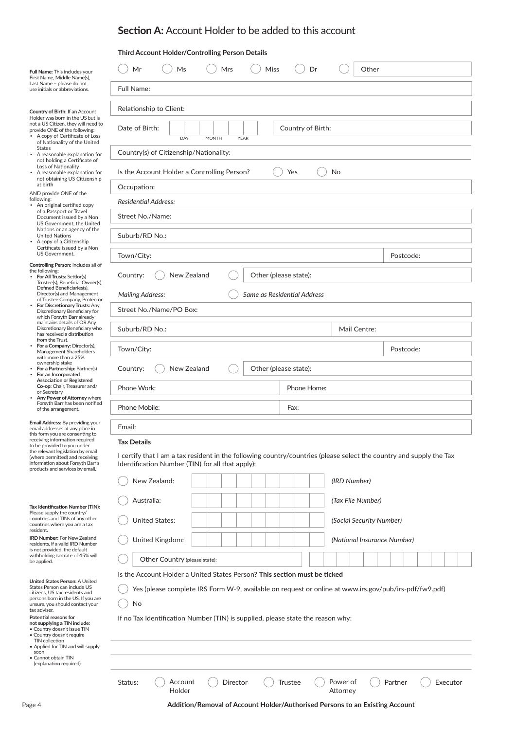## **Third Account Holder/Controlling Person Details**

| Full Name: This includes your<br>First Name, Middle Name(s),                                                                                | Ms<br>Mrs<br>Miss<br>Dr<br>Other<br>Mr                                                                                                                                  |                     |  |  |  |  |  |  |
|---------------------------------------------------------------------------------------------------------------------------------------------|-------------------------------------------------------------------------------------------------------------------------------------------------------------------------|---------------------|--|--|--|--|--|--|
| Last Name - please do not<br>use initials or abbreviations.                                                                                 | Full Name:                                                                                                                                                              |                     |  |  |  |  |  |  |
| <b>Country of Birth: If an Account</b>                                                                                                      | Relationship to Client:                                                                                                                                                 |                     |  |  |  |  |  |  |
| Holder was born in the US but is<br>not a US Citizen, they will need to<br>provide ONE of the following:<br>• A copy of Certificate of Loss | Date of Birth:<br>Country of Birth:<br>DAY<br><b>MONTH</b><br><b>YEAR</b>                                                                                               |                     |  |  |  |  |  |  |
| States<br>A reasonable explanation for                                                                                                      | of Nationality of the United<br>Country(s) of Citizenship/Nationality:                                                                                                  |                     |  |  |  |  |  |  |
| not holding a Certificate of<br>Loss of Nationality<br>• A reasonable explanation for                                                       | Is the Account Holder a Controlling Person?<br>Yes<br>No                                                                                                                |                     |  |  |  |  |  |  |
| not obtaining US Citizenship<br>at birth<br>Occupation:                                                                                     |                                                                                                                                                                         |                     |  |  |  |  |  |  |
| AND provide ONE of the<br>following:<br><b>Residential Address:</b><br>• An original certified copy                                         |                                                                                                                                                                         |                     |  |  |  |  |  |  |
| of a Passport or Travel<br>Document issued by a Non<br>US Government, the United                                                            | Street No./Name:                                                                                                                                                        |                     |  |  |  |  |  |  |
| Nations or an agency of the<br><b>United Nations</b><br>• A copy of a Citizenship                                                           | Suburb/RD No.:                                                                                                                                                          |                     |  |  |  |  |  |  |
| Certificate issued by a Non<br>US Government.                                                                                               | Town/City:                                                                                                                                                              | Postcode:           |  |  |  |  |  |  |
| Controlling Person: Includes all of<br>the following:<br>For All Trusts: Settlor(s)<br>Trustee(s), Beneficial Owner(s),                     | New Zealand<br>Other (please state):<br>Country:                                                                                                                        |                     |  |  |  |  |  |  |
| Defined Beneficiaries(s),<br>Director(s) and Management<br>of Trustee Company, Protector                                                    | <b>Mailing Address:</b><br>Same as Residential Address                                                                                                                  |                     |  |  |  |  |  |  |
| For Discretionary Trusts: Any<br>Discretionary Beneficiary for<br>which Forsyth Barr already                                                | Street No./Name/PO Box:                                                                                                                                                 |                     |  |  |  |  |  |  |
| maintains details of OR Any<br>Discretionary Beneficiary who<br>has received a distribution                                                 | Suburb/RD No.:<br>Mail Centre:                                                                                                                                          |                     |  |  |  |  |  |  |
| from the Trust.<br>For a Company: Director(s),<br>Management Shareholders                                                                   | Town/City:                                                                                                                                                              | Postcode:           |  |  |  |  |  |  |
| with more than a 25%<br>ownership stake<br>For a Partnership: Partner(s)<br>For an Incorporated                                             | New Zealand<br>Other (please state):<br>Country:<br>Phone Work:<br>Phone Home:<br>Phone Mobile:<br>Fax:                                                                 |                     |  |  |  |  |  |  |
| <b>Association or Registered</b><br>Co-op: Chair, Treasurer and/<br>or Secretary                                                            |                                                                                                                                                                         |                     |  |  |  |  |  |  |
| Any Power of Attorney where<br>Forsyth Barr has been notified<br>of the arrangement.                                                        |                                                                                                                                                                         |                     |  |  |  |  |  |  |
| <b>Email Address:</b> By providing your<br>email addresses at any place in                                                                  | Email:                                                                                                                                                                  |                     |  |  |  |  |  |  |
| this form you are consenting to<br>receiving information required<br>to be provided to you under                                            | <b>Tax Details</b>                                                                                                                                                      |                     |  |  |  |  |  |  |
| the relevant legislation by email<br>(where permitted) and receiving<br>information about Forsyth Barr's<br>products and services by email. | I certify that I am a tax resident in the following country/countries (please select the country and supply the Tax<br>Identification Number (TIN) for all that apply): |                     |  |  |  |  |  |  |
|                                                                                                                                             | New Zealand:<br>(IRD Number)                                                                                                                                            |                     |  |  |  |  |  |  |
|                                                                                                                                             | Australia:<br>(Tax File Number)                                                                                                                                         |                     |  |  |  |  |  |  |
| Tax Identification Number (TIN):<br>Please supply the country/<br>countries and TINs of any other                                           | <b>United States:</b><br>(Social Security Number)                                                                                                                       |                     |  |  |  |  |  |  |
| countries where you are a tax<br>resident.<br><b>IRD Number: For New Zealand</b>                                                            | United Kingdom:<br>(National Insurance Number)                                                                                                                          |                     |  |  |  |  |  |  |
| residents, if a valid IRD Number<br>is not provided, the default<br>withholding tax rate of 45% will                                        | Other Country (please state):                                                                                                                                           |                     |  |  |  |  |  |  |
| be applied.<br>Is the Account Holder a United States Person? This section must be ticked                                                    |                                                                                                                                                                         |                     |  |  |  |  |  |  |
| United States Person: A United<br>States Person can include US<br>citizens, US tax residents and<br>persons born in the US. If you are      | Yes (please complete IRS Form W-9, available on request or online at www.irs.gov/pub/irs-pdf/fw9.pdf)                                                                   |                     |  |  |  |  |  |  |
| unsure, you should contact your<br>tax adviser.<br>Potential reasons for                                                                    | No                                                                                                                                                                      |                     |  |  |  |  |  |  |
| not supplying a TIN include:<br>• Country doesn't issue TIN<br>· Country doesn't require                                                    | If no Tax Identification Number (TIN) is supplied, please state the reason why:                                                                                         |                     |  |  |  |  |  |  |
| TIN collection<br>• Applied for TIN and will supply<br>soon<br>• Cannot obtain TIN<br>(explanation required)                                |                                                                                                                                                                         |                     |  |  |  |  |  |  |
|                                                                                                                                             | Status:<br>Account<br>Director<br>Trustee<br>Power of<br>Holder<br>Attorney                                                                                             | Partner<br>Executor |  |  |  |  |  |  |
| Page 4                                                                                                                                      | Addition/Removal of Account Holder/Authorised Persons to an Existing Account                                                                                            |                     |  |  |  |  |  |  |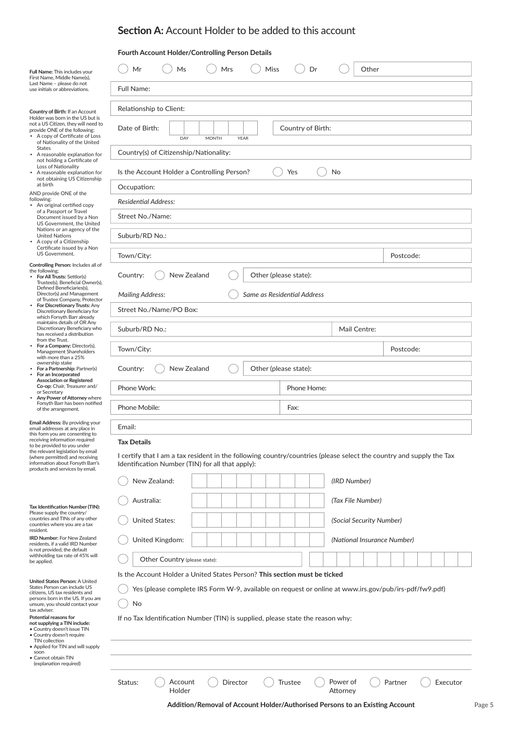| Fourth Account Holder/Controlling Person Details |
|--------------------------------------------------|
|--------------------------------------------------|

| Full Name: This includes your<br>First Name, Middle Name(s),                                                                                                                | Mrs<br>Miss<br>Other<br>Ms<br>Dr<br>Mr                                                                                                                                                       |  |  |  |  |  |  |
|-----------------------------------------------------------------------------------------------------------------------------------------------------------------------------|----------------------------------------------------------------------------------------------------------------------------------------------------------------------------------------------|--|--|--|--|--|--|
| Last Name - please do not<br>use initials or abbreviations.                                                                                                                 | Full Name:                                                                                                                                                                                   |  |  |  |  |  |  |
| Country of Birth: If an Account                                                                                                                                             | Relationship to Client:                                                                                                                                                                      |  |  |  |  |  |  |
| Holder was born in the US but is<br>not a US Citizen, they will need to<br>provide ONE of the following:<br>• A copy of Certificate of Loss<br>of Nationality of the United | Date of Birth:<br>Country of Birth:<br>DAY<br><b>MONTH</b><br><b>YEAR</b>                                                                                                                    |  |  |  |  |  |  |
| States<br>• A reasonable explanation for<br>not holding a Certificate of                                                                                                    | Country(s) of Citizenship/Nationality:                                                                                                                                                       |  |  |  |  |  |  |
| Loss of Nationality<br>A reasonable explanation for<br>not obtaining US Citizenship                                                                                         | Is the Account Holder a Controlling Person?<br>Yes<br>No                                                                                                                                     |  |  |  |  |  |  |
| at birth<br>Occupation:<br>AND provide ONE of the<br>following:                                                                                                             |                                                                                                                                                                                              |  |  |  |  |  |  |
| • An original certified copy<br>of a Passport or Travel                                                                                                                     | <b>Residential Address:</b>                                                                                                                                                                  |  |  |  |  |  |  |
| Document issued by a Non<br>US Government, the United<br>Nations or an agency of the                                                                                        | Street No./Name:                                                                                                                                                                             |  |  |  |  |  |  |
| United Nations<br>• A copy of a Citizenship<br>Certificate issued by a Non                                                                                                  | Suburb/RD No.:                                                                                                                                                                               |  |  |  |  |  |  |
| US Government.<br>Controlling Person: Includes all of                                                                                                                       | Town/City:<br>Postcode:                                                                                                                                                                      |  |  |  |  |  |  |
| the following;<br>For All Trusts: Settlor(s)<br>Trustee(s), Beneficial Owner(s),                                                                                            | New Zealand<br>Other (please state):<br>Country:                                                                                                                                             |  |  |  |  |  |  |
| Defined Beneficiaries(s),<br>Director(s) and Management<br>of Trustee Company, Protector                                                                                    | Same as Residential Address<br><b>Mailing Address:</b>                                                                                                                                       |  |  |  |  |  |  |
| For Discretionary Trusts: Any<br>Discretionary Beneficiary for<br>which Forsyth Barr already                                                                                | Street No./Name/PO Box:                                                                                                                                                                      |  |  |  |  |  |  |
| maintains details of OR Any<br>Discretionary Beneficiary who<br>has received a distribution<br>from the Trust.                                                              | Suburb/RD No.:<br>Mail Centre:                                                                                                                                                               |  |  |  |  |  |  |
| For a Company: Director(s),<br>Management Shareholders                                                                                                                      | Town/City:<br>Postcode:                                                                                                                                                                      |  |  |  |  |  |  |
| with more than a 25%<br>ownership stake<br>For a Partnership: Partner(s)<br>For an Incorporated                                                                             | New Zealand<br>Other (please state):<br>Country:                                                                                                                                             |  |  |  |  |  |  |
| <b>Association or Registered</b><br>Co-op: Chair, Treasurer and/<br>or Secretary                                                                                            | Phone Work:<br>Phone Home:                                                                                                                                                                   |  |  |  |  |  |  |
| Any Power of Attorney where<br>Forsyth Barr has been notified<br>of the arrangement.                                                                                        | Phone Mobile:<br>Fax:                                                                                                                                                                        |  |  |  |  |  |  |
| Email Address: By providing your<br>email addresses at any place in                                                                                                         | Email:                                                                                                                                                                                       |  |  |  |  |  |  |
| this form you are consenting to<br>receiving information required<br>to be provided to you under                                                                            | <b>Tax Details</b>                                                                                                                                                                           |  |  |  |  |  |  |
| the relevant legislation by email<br>(where permitted) and receiving<br>information about Forsyth Barr's<br>products and services by email.                                 | I certify that I am a tax resident in the following country/countries (please select the country and supply the Tax<br>Identification Number (TIN) for all that apply):                      |  |  |  |  |  |  |
|                                                                                                                                                                             | New Zealand:<br>(IRD Number)                                                                                                                                                                 |  |  |  |  |  |  |
|                                                                                                                                                                             | Australia:<br>(Tax File Number)                                                                                                                                                              |  |  |  |  |  |  |
| Tax Identification Number (TIN):<br>Please supply the country/<br>countries and TINs of any other<br>countries where you are a tax                                          | <b>United States:</b><br>(Social Security Number)                                                                                                                                            |  |  |  |  |  |  |
| resident.<br><b>IRD Number: For New Zealand</b>                                                                                                                             | United Kingdom:<br>(National Insurance Number)                                                                                                                                               |  |  |  |  |  |  |
| residents, if a valid IRD Number<br>is not provided, the default<br>withholding tax rate of 45% will                                                                        | Other Country (please state):                                                                                                                                                                |  |  |  |  |  |  |
| be applied.                                                                                                                                                                 | Is the Account Holder a United States Person? This section must be ticked                                                                                                                    |  |  |  |  |  |  |
| United States Person: A United<br>States Person can include US                                                                                                              | Yes (please complete IRS Form W-9, available on request or online at www.irs.gov/pub/irs-pdf/fw9.pdf)                                                                                        |  |  |  |  |  |  |
| citizens, US tax residents and<br>persons born in the US. If you are<br>unsure, you should contact your                                                                     | No                                                                                                                                                                                           |  |  |  |  |  |  |
| tax adviser.<br>Potential reasons for<br>not supplying a TIN include:<br>• Country doesn't issue TIN<br>· Country doesn't require                                           | If no Tax Identification Number (TIN) is supplied, please state the reason why:                                                                                                              |  |  |  |  |  |  |
| TIN collection<br>• Applied for TIN and will supply<br>soon<br>• Cannot obtain TIN                                                                                          |                                                                                                                                                                                              |  |  |  |  |  |  |
| (explanation required)                                                                                                                                                      |                                                                                                                                                                                              |  |  |  |  |  |  |
|                                                                                                                                                                             | Status:<br>Account<br>Director<br>Trustee<br>Power of<br>Partner<br>Executor<br>Holder<br>Attorney<br>Addition/Removal of Account Holder/Authorised Persons to an Existing Account<br>Page 5 |  |  |  |  |  |  |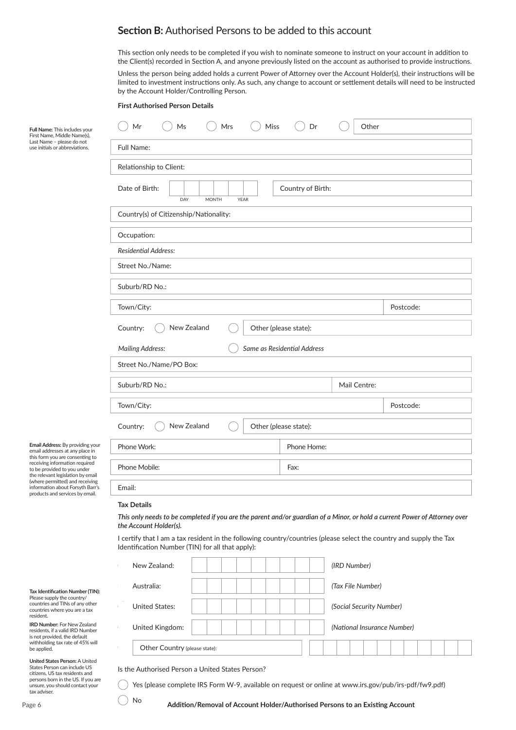# **Section B:** Authorised Persons to be added to this account

This section only needs to be completed if you wish to nominate someone to instruct on your account in addition to the Client(s) recorded in Section A, and anyone previously listed on the account as authorised to provide instructions.

Unless the person being added holds a current Power of Attorney over the Account Holder(s), their instructions will be limited to investment instructions only. As such, any change to account or settlement details will need to be instructed by the Account Holder/Controlling Person.

#### **First Authorised Person Details**

**Full Name:** This includes your First Name, Middle Name(s), Last Name – please do not use initials or abbreviations.

| Mr<br>Ms<br><b>Mrs</b>                                                                                                                                                  | Miss | Dr                          | Other                       |           |
|-------------------------------------------------------------------------------------------------------------------------------------------------------------------------|------|-----------------------------|-----------------------------|-----------|
| Full Name:                                                                                                                                                              |      |                             |                             |           |
| Relationship to Client:                                                                                                                                                 |      |                             |                             |           |
| Date of Birth:<br>DAY<br><b>MONTH</b><br><b>YEAR</b>                                                                                                                    |      | Country of Birth:           |                             |           |
| Country(s) of Citizenship/Nationality:                                                                                                                                  |      |                             |                             |           |
| Occupation:                                                                                                                                                             |      |                             |                             |           |
| <b>Residential Address:</b>                                                                                                                                             |      |                             |                             |           |
| Street No./Name:                                                                                                                                                        |      |                             |                             |           |
| Suburb/RD No.:                                                                                                                                                          |      |                             |                             |           |
| Town/City:                                                                                                                                                              |      |                             |                             | Postcode: |
| New Zealand<br>Country:                                                                                                                                                 |      | Other (please state):       |                             |           |
| <b>Mailing Address:</b>                                                                                                                                                 |      | Same as Residential Address |                             |           |
| Street No./Name/PO Box:                                                                                                                                                 |      |                             |                             |           |
| Suburb/RD No.:                                                                                                                                                          |      |                             | Mail Centre:                |           |
| Town/City:                                                                                                                                                              |      |                             |                             | Postcode: |
|                                                                                                                                                                         |      |                             |                             |           |
| Country:<br>New Zealand                                                                                                                                                 |      | Other (please state):       |                             |           |
| Phone Work:                                                                                                                                                             |      | Phone Home:                 |                             |           |
| Phone Mobile:<br>Fax:                                                                                                                                                   |      |                             |                             |           |
| Email:                                                                                                                                                                  |      |                             |                             |           |
| <b>Tax Details</b>                                                                                                                                                      |      |                             |                             |           |
| This only needs to be completed if you are the parent and/or guardian of a Minor, or hold a current Power of Attorney over<br>the Account Holder(s).                    |      |                             |                             |           |
| I certify that I am a tax resident in the following country/countries (please select the country and supply the Tax<br>Identification Number (TIN) for all that apply): |      |                             |                             |           |
| New Zealand:                                                                                                                                                            |      |                             | (IRD Number)                |           |
| Australia:                                                                                                                                                              |      |                             | (Tax File Number)           |           |
| <b>United States:</b>                                                                                                                                                   |      |                             | (Social Security Number)    |           |
| United Kingdom:                                                                                                                                                         |      |                             | (National Insurance Number) |           |
| Other Country (please state):                                                                                                                                           |      |                             |                             |           |

**Email Address:** By providing your email addresses at any place in this form you are consenting to receiving information required<br>to be provided to you under the relevant legislation by email (where permitted) and receiving information about Forsyth Barr's products and services by email.

#### **Tax Identification Number (TIN):** Please supply the country/ countries and TINs of any other countries where you are a tax resident.

**IRD Number:** For New Zealand residents, if a valid IRD Number is not provided, the default withholding tax rate of 45% will be applied.

citizens, US tax residents and<br>persons born in the US. If you are person's bornin are 05: if you all<br>unsure, you should contact your  $\mu$  is the US. If  $\mu$ **United States Person:** A United States Person can include US tax adviser.

ls the Authorised Person a United States Person? In the complete or online at www.irs-power. At what we can als  $I$  the  $I$  the  $I$  states  $I$  (possesses).

No

Yes (please complete IRS Form W-9, available on request or online at www.irs.gov/pub/irs-pdf/fw9.pdf) No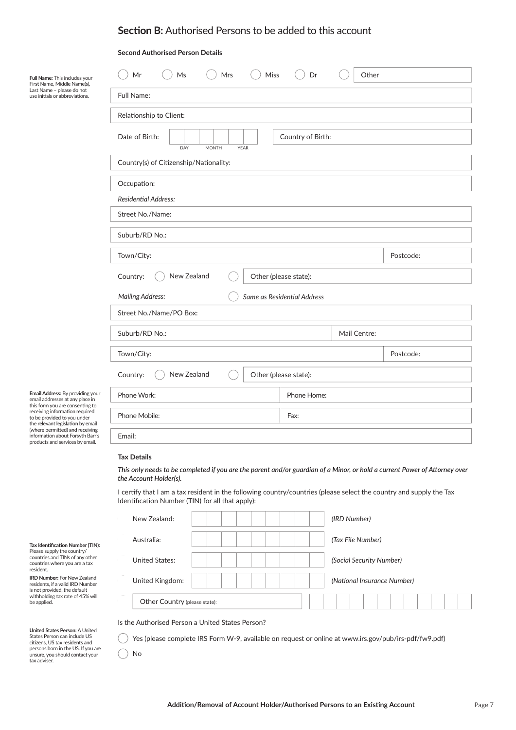# **Section B:** Authorised Persons to be added to this account

### **Second Authorised Person Details**

| Full Name: This includes your<br>First Name, Middle Name(s),                                                                                                                                                 | Miss<br>Ms<br>Mrs<br>Mr                                                   | Dr<br>Other           |           |  |  |  |
|--------------------------------------------------------------------------------------------------------------------------------------------------------------------------------------------------------------|---------------------------------------------------------------------------|-----------------------|-----------|--|--|--|
| Last Name – please do not<br>use initials or abbreviations.                                                                                                                                                  | Full Name:                                                                |                       |           |  |  |  |
|                                                                                                                                                                                                              | Relationship to Client:                                                   |                       |           |  |  |  |
|                                                                                                                                                                                                              | Date of Birth:<br>Country of Birth:<br>DAY<br><b>MONTH</b><br><b>YEAR</b> |                       |           |  |  |  |
|                                                                                                                                                                                                              | Country(s) of Citizenship/Nationality:                                    |                       |           |  |  |  |
|                                                                                                                                                                                                              | Occupation:                                                               |                       |           |  |  |  |
|                                                                                                                                                                                                              | <b>Residential Address:</b>                                               |                       |           |  |  |  |
|                                                                                                                                                                                                              | Street No./Name:                                                          |                       |           |  |  |  |
|                                                                                                                                                                                                              | Suburb/RD No.:                                                            |                       |           |  |  |  |
|                                                                                                                                                                                                              | Town/City:                                                                |                       | Postcode: |  |  |  |
|                                                                                                                                                                                                              | New Zealand<br>Country:<br>Other (please state):                          |                       |           |  |  |  |
|                                                                                                                                                                                                              | Same as Residential Address<br><b>Mailing Address:</b>                    |                       |           |  |  |  |
|                                                                                                                                                                                                              | Street No./Name/PO Box:                                                   |                       |           |  |  |  |
|                                                                                                                                                                                                              | Suburb/RD No.:                                                            | Mail Centre:          |           |  |  |  |
|                                                                                                                                                                                                              | Town/City:                                                                |                       | Postcode: |  |  |  |
| Email Address: By providing your<br>email addresses at any place in<br>this form you are consenting to<br>receiving information required<br>to be provided to you under<br>the relevant legislation by email | New Zealand<br>Country:                                                   | Other (please state): |           |  |  |  |
|                                                                                                                                                                                                              | Phone Work:                                                               | Phone Home:           |           |  |  |  |
|                                                                                                                                                                                                              | Phone Mobile:                                                             | Fax:                  |           |  |  |  |
| (where permitted) and receiving<br>information about Forsyth Barr's<br>products and services by email.                                                                                                       | Email:                                                                    |                       |           |  |  |  |
|                                                                                                                                                                                                              |                                                                           |                       |           |  |  |  |

## **Tax Details**

**Tax Details** *the Account Holder(s).This only needs to be completed if you are the parent and/or guardian of a Minor, or hold a current Power of Attorney over* 

I certify that I am a tax resident in the following country/countries (please select the country and supply the Tax Identification Number (TIN) for all that apply):

|        | New Zealand:                  |  |  | (IRD Number)                |
|--------|-------------------------------|--|--|-----------------------------|
|        | Australia:                    |  |  | (Tax File Number)           |
|        | <b>United States:</b>         |  |  | (Social Security Number)    |
|        | United Kingdom:               |  |  | (National Insurance Number) |
| $\sim$ | Other Country (please state): |  |  |                             |

Is the Authorised Person a United States Person?

Yes (please complete IRS Form W-9, available on request or online at www.irs.gov/pub/irs-pdf/fw9.pdf)

No

**Tax Identification Number (TIN):** Please supply the country/ countries and TINs of any other

countries where you are a tax resident. **IRD Number:** For New Zealand residents, if a valid IRD Number is not provided, the default withholding tax rate of 45% will be applied.

**United States Person:** A United States Person can include US citi zens, US tax residents and persons born in the US. If you are unsure, you should contact your tax adviser.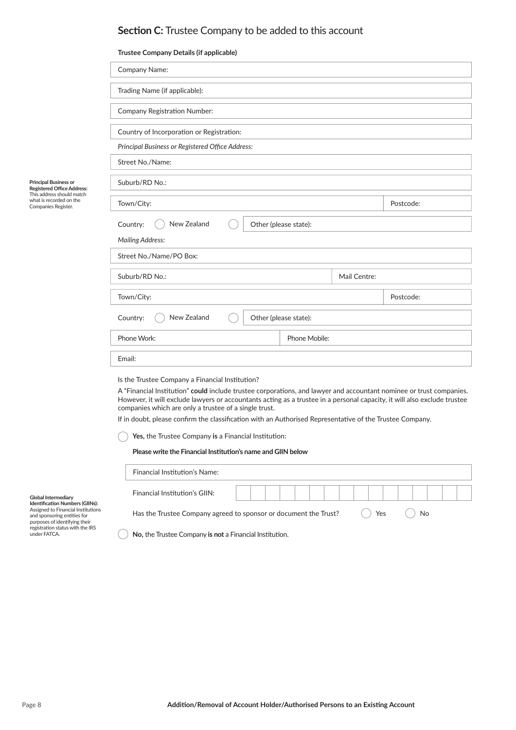# **Section C:** Trustee Company to be added to this account

## **Trustee Company Details (if applicable)**

|                                                                                                                                        | Company Name:                                                                                                                                                                                                                                                                                                                                                                                                                                                                                                                   |              |           |  |  |  |  |
|----------------------------------------------------------------------------------------------------------------------------------------|---------------------------------------------------------------------------------------------------------------------------------------------------------------------------------------------------------------------------------------------------------------------------------------------------------------------------------------------------------------------------------------------------------------------------------------------------------------------------------------------------------------------------------|--------------|-----------|--|--|--|--|
|                                                                                                                                        | Trading Name (if applicable):                                                                                                                                                                                                                                                                                                                                                                                                                                                                                                   |              |           |  |  |  |  |
|                                                                                                                                        | <b>Company Registration Number:</b>                                                                                                                                                                                                                                                                                                                                                                                                                                                                                             |              |           |  |  |  |  |
|                                                                                                                                        | Country of Incorporation or Registration:                                                                                                                                                                                                                                                                                                                                                                                                                                                                                       |              |           |  |  |  |  |
|                                                                                                                                        | Principal Business or Registered Office Address:                                                                                                                                                                                                                                                                                                                                                                                                                                                                                |              |           |  |  |  |  |
|                                                                                                                                        | Street No./Name:                                                                                                                                                                                                                                                                                                                                                                                                                                                                                                                |              |           |  |  |  |  |
| Principal Business or<br><b>Registered Office Address:</b>                                                                             | Suburb/RD No.:                                                                                                                                                                                                                                                                                                                                                                                                                                                                                                                  |              |           |  |  |  |  |
| This address should match<br>what is recorded on the<br>Companies Register.                                                            | Town/City:                                                                                                                                                                                                                                                                                                                                                                                                                                                                                                                      |              | Postcode: |  |  |  |  |
|                                                                                                                                        | Country:<br>New Zealand<br>Other (please state):                                                                                                                                                                                                                                                                                                                                                                                                                                                                                |              |           |  |  |  |  |
|                                                                                                                                        | <b>Mailing Address:</b>                                                                                                                                                                                                                                                                                                                                                                                                                                                                                                         |              |           |  |  |  |  |
|                                                                                                                                        | Street No./Name/PO Box:                                                                                                                                                                                                                                                                                                                                                                                                                                                                                                         |              |           |  |  |  |  |
|                                                                                                                                        | Suburb/RD No.:                                                                                                                                                                                                                                                                                                                                                                                                                                                                                                                  | Mail Centre: |           |  |  |  |  |
|                                                                                                                                        | Town/City:                                                                                                                                                                                                                                                                                                                                                                                                                                                                                                                      |              | Postcode: |  |  |  |  |
|                                                                                                                                        | New Zealand<br>Other (please state):<br>Country:                                                                                                                                                                                                                                                                                                                                                                                                                                                                                |              |           |  |  |  |  |
|                                                                                                                                        | Phone Work:<br>Phone Mobile:                                                                                                                                                                                                                                                                                                                                                                                                                                                                                                    |              |           |  |  |  |  |
|                                                                                                                                        | Email:                                                                                                                                                                                                                                                                                                                                                                                                                                                                                                                          |              |           |  |  |  |  |
|                                                                                                                                        | Is the Trustee Company a Financial Institution?<br>A "Financial Institution" could include trustee corporations, and lawyer and accountant nominee or trust companies.<br>However, it will exclude lawyers or accountants acting as a trustee in a personal capacity, it will also exclude trustee<br>companies which are only a trustee of a single trust.<br>If in doubt, please confirm the classification with an Authorised Representative of the Trustee Company.<br>Yes, the Trustee Company is a Financial Institution: |              |           |  |  |  |  |
|                                                                                                                                        | Please write the Financial Institution's name and GIIN below                                                                                                                                                                                                                                                                                                                                                                                                                                                                    |              |           |  |  |  |  |
|                                                                                                                                        | <b>Financial Institution's Name:</b>                                                                                                                                                                                                                                                                                                                                                                                                                                                                                            |              |           |  |  |  |  |
| <b>Global Intermediary</b><br>Identification Numbers (GIINs):                                                                          | <b>Financial Institution's GIIN:</b>                                                                                                                                                                                                                                                                                                                                                                                                                                                                                            |              |           |  |  |  |  |
| Assigned to Financial Institutions<br>and sponsoring entities for<br>purposes of identifying their<br>registration status with the IRS | Has the Trustee Company agreed to sponsor or document the Trust?                                                                                                                                                                                                                                                                                                                                                                                                                                                                | Yes          | No        |  |  |  |  |

**No, the Trustee Company is not a Financial Institution.** 

under FATCA.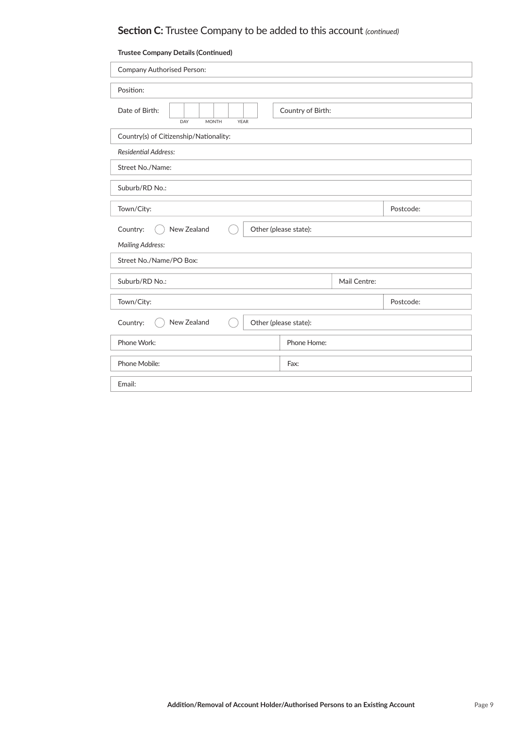| <b>Trustee Company Details (Continued)</b>           |                       |           |  |  |  |
|------------------------------------------------------|-----------------------|-----------|--|--|--|
| <b>Company Authorised Person:</b>                    |                       |           |  |  |  |
| Position:                                            |                       |           |  |  |  |
| Date of Birth:<br>DAY<br><b>MONTH</b><br><b>YEAR</b> | Country of Birth:     |           |  |  |  |
| Country(s) of Citizenship/Nationality:               |                       |           |  |  |  |
| <b>Residential Address:</b>                          |                       |           |  |  |  |
| Street No./Name:                                     |                       |           |  |  |  |
| Suburb/RD No.:                                       |                       |           |  |  |  |
| Town/City:                                           |                       | Postcode: |  |  |  |
| New Zealand<br>Country:                              | Other (please state): |           |  |  |  |
| <b>Mailing Address:</b>                              |                       |           |  |  |  |
| Street No./Name/PO Box:                              |                       |           |  |  |  |
| Suburb/RD No.:                                       | Mail Centre:          |           |  |  |  |
| Town/City:<br>Postcode:                              |                       |           |  |  |  |
| New Zealand<br>Country:<br>Other (please state):     |                       |           |  |  |  |
| Phone Work:                                          | Phone Home:           |           |  |  |  |
| Phone Mobile:                                        | Fax:                  |           |  |  |  |
| Email:                                               |                       |           |  |  |  |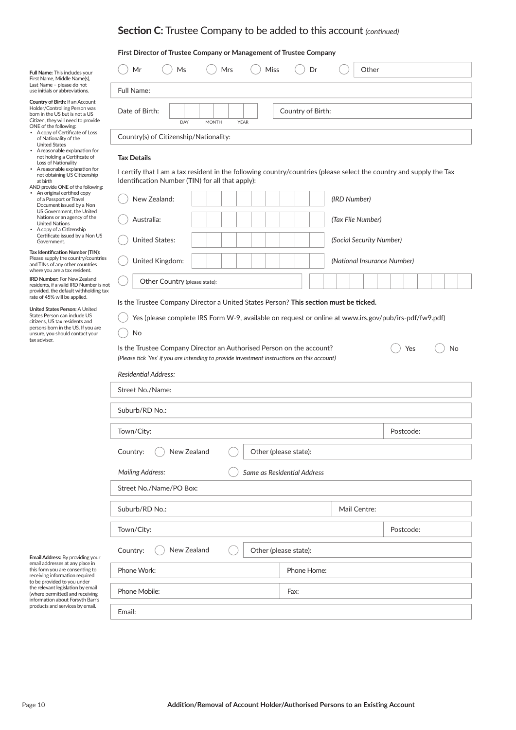## **First Director of Trustee Company or Management of Trustee Company**

| our<br>s),                         | Mr                                     | Ms  | Mrs          | Miss        | Dr                | Other |
|------------------------------------|----------------------------------------|-----|--------------|-------------|-------------------|-------|
| Ś.                                 | Full Name:                             |     |              |             |                   |       |
| ount<br>was<br><b>US</b><br>rovide | Date of Birth:                         | DAY | <b>MONTH</b> | <b>YEAR</b> | Country of Birth: |       |
| <b>Loss</b>                        | Country(s) of Citizenship/Nationality: |     |              |             |                   |       |

#### **Tax Details**

No

I certify that I am a tax resident in the following country/countries (please select the country and supply the Tax Identification Number (TIN) for all that apply):

| New Zealand:                  | (IRD Number)                |
|-------------------------------|-----------------------------|
| Australia:                    | (Tax File Number)           |
| United States:                | (Social Security Number)    |
| United Kingdom:               | (National Insurance Number) |
| Other Country (please state): |                             |

### Is the Trustee Company Director a United States Person? This section must be ticked.

Yes (please complete IRS Form W-9, available on request or online at www.irs.gov/pub/irs-pdf/fw9.pdf)  $($ 

| Is the Trustee Company Director an Authorised Person on the account?                        |  |
|---------------------------------------------------------------------------------------------|--|
| (Please tick 'Yes' if you are intending to provide investment instructions on this account) |  |

| Yes | <b>No</b> |
|-----|-----------|
|     |           |

| <b>Residential Address:</b> |                             |
|-----------------------------|-----------------------------|
| Street No./Name:            |                             |
| Suburb/RD No.:              |                             |
| Town/City:                  | Postcode:                   |
| New Zealand<br>Country:     | Other (please state):       |
| <b>Mailing Address:</b>     | Same as Residential Address |
| Street No./Name/PO Box:     |                             |
| Suburb/RD No.:              | Mail Centre:                |
| Town/City:                  | Postcode:                   |
| New Zealand<br>Country:     | Other (please state):       |
| Phone Work:                 | Phone Home:                 |
| Phone Mobile:               | Fax:                        |
| Email:                      |                             |

**Full Name:** This includes y First Name, Middle Name Last Name – please do not use initials or abbreviation

**Country of Birth:** If an Accountry Holder/Controlling Person born in the US but is not a Citizen, they will need to provide ONE of the following:

- A copy of Certificate of Loss of Nationality of the United States
- A reasonable explanation for not holding a Certificate of Loss of Nationality • A reasonable explanation for
- not obtaining US Citizenship at birth

| AND provide ONE of the following: |                             |  |  |  |
|-----------------------------------|-----------------------------|--|--|--|
| $\bullet$                         | An original certified copy  |  |  |  |
|                                   | of a Passport or Travel     |  |  |  |
|                                   | Document issued by a Non    |  |  |  |
|                                   | US Government, the United   |  |  |  |
|                                   | Nations or an agency of the |  |  |  |
|                                   | Llaited Nations             |  |  |  |

**Tax Islams**<br>• A copy of a Citizenship Certificate issued by a Non US Government. United Nations • A copy of a Citizenship

**Tax Identification Number (TIN):** Please supply the country/countries and TINs of any other countries<br>where you are a tax resident.

**IRD Number:** For New Zealand residents, if a valid IRD Number is not provided, the default withholding tax rate of 45% will be applied.

| <b>United States Person:</b> A United |
|---------------------------------------|
| States Person can include US          |
| citizens. US tax residents and        |
| persons born in the US. If you are    |
| unsure, you should contact your       |
| tax adviser.                          |

email addresses at any place in<br>this form you are consenting to receiving information required to be provided to you under the relevant legislation by email<br>(where permitted) and receiving information about Forsyth Barr's<br>products and services by email.

**Email Address:** By providing your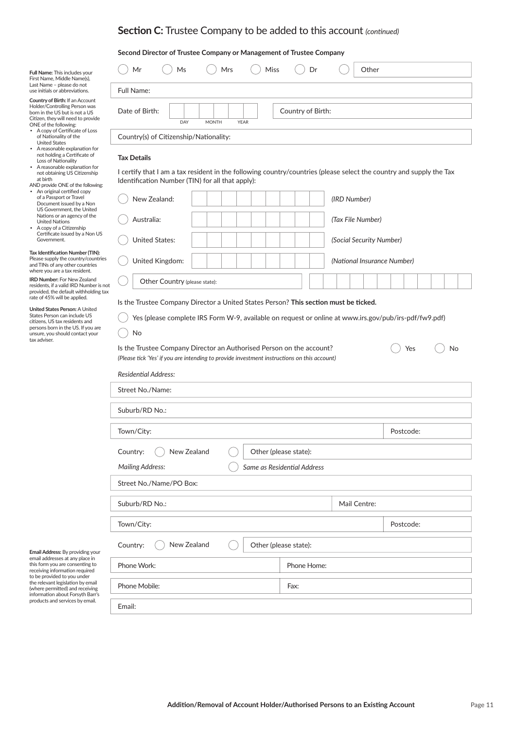### **Second Director of Trustee Company or Management of Trustee Company**

| 'our<br>(s),                      | Mr                                     | Ms  | Mrs          | Miss        | Dr                | Other |  |
|-----------------------------------|----------------------------------------|-----|--------------|-------------|-------------------|-------|--|
| is.                               | <b>Full Name:</b>                      |     |              |             |                   |       |  |
| :ount<br>า was<br>I US<br>provide | Date of Birth:                         | DAY | <b>MONTH</b> | <b>YEAR</b> | Country of Birth: |       |  |
| f Loss<br>ion for                 | Country(s) of Citizenship/Nationality: |     |              |             |                   |       |  |

#### **Tax Details**

No

I certify that I am a tax resident in the following country/countries (please select the country and supply the Tax Identification Number (TIN) for all that apply):

| New Zealand:                  | (IRD Number)                |
|-------------------------------|-----------------------------|
| Australia:                    | (Tax File Number)           |
| <b>United States:</b>         | (Social Security Number)    |
| United Kingdom:               | (National Insurance Number) |
| Other Country (please state): |                             |

### Is the Trustee Company Director a United States Person? This section must be ticked.

Yes (please complete IRS Form W-9, available on request or online at www.irs.gov/pub/irs-pdf/fw9.pdf)  $($   $)$ 

| Is the Trustee Company Director an Authorised Person on the account?                        |  |
|---------------------------------------------------------------------------------------------|--|
| (Please tick 'Yes' if you are intending to provide investment instructions on this account) |  |

| Yes | <b>No</b> |
|-----|-----------|
|     |           |

| <b>Residential Address:</b> |                             |  |  |  |  |
|-----------------------------|-----------------------------|--|--|--|--|
| Street No./Name:            |                             |  |  |  |  |
| Suburb/RD No.:              |                             |  |  |  |  |
| Town/City:                  | Postcode:                   |  |  |  |  |
| New Zealand<br>Country:     | Other (please state):       |  |  |  |  |
| <b>Mailing Address:</b>     | Same as Residential Address |  |  |  |  |
| Street No./Name/PO Box:     |                             |  |  |  |  |
| Suburb/RD No.:              | Mail Centre:                |  |  |  |  |
| Town/City:                  | Postcode:                   |  |  |  |  |
| New Zealand<br>Country:     | Other (please state):       |  |  |  |  |
| Phone Work:                 | Phone Home:                 |  |  |  |  |
| Phone Mobile:               | Fax:                        |  |  |  |  |
| Email:                      |                             |  |  |  |  |

email addresses at any place in<br>this form you are consenting to receiving information required to be provided to you under the relevant legislation by email (where permitted) and receiving<br>information about Forsyth Barr's<br>products and services by email.

**Email Address:** By providing your

| Country of Birth: If an Account    |  |  |  |
|------------------------------------|--|--|--|
| Holder/Controlling Person was      |  |  |  |
| born in the US but is not a US     |  |  |  |
| Citizen, they will need to provide |  |  |  |
| ONE of the following:              |  |  |  |
| A copy of Certificate of Loss      |  |  |  |

| ٠ | A copy of Certificate of Loss |
|---|-------------------------------|
|   | of Nationality of the         |
|   | <b>United States</b>          |

- United States A reasonable explanation for not holding a Certificate of Loss of Nationality
- A reasonable explanation for not obtaining US Citizenship at birth

| AND provide ONE of the following:       |  |  |  |
|-----------------------------------------|--|--|--|
| An original certified copy<br>$\bullet$ |  |  |  |
| of a Passport or Travel                 |  |  |  |
| Document issued by a Non                |  |  |  |
| US Government, the United               |  |  |  |
| Nations or an agons of the              |  |  |  |

• A copy of a Citizenship US Government, the United Nations or an agency of the United Nations

Preap) of a differential property. Covernment.<br>Government.

**Tax Identification Number (TIN):** Please supply the country/countries

and TINs of any other countries where you are a tax resident.

**IRD Number:** For New Zealand<br>residents, if a valid IRD Number is not provided, the default withholding tax rate of 45% will be applied.

| <b>United States Person:</b> A United |
|---------------------------------------|
| States Person can include US          |
| citizens. US tax residents and        |
| persons born in the US. If you are    |
| unsure, you should contact your       |
| tax adviser.                          |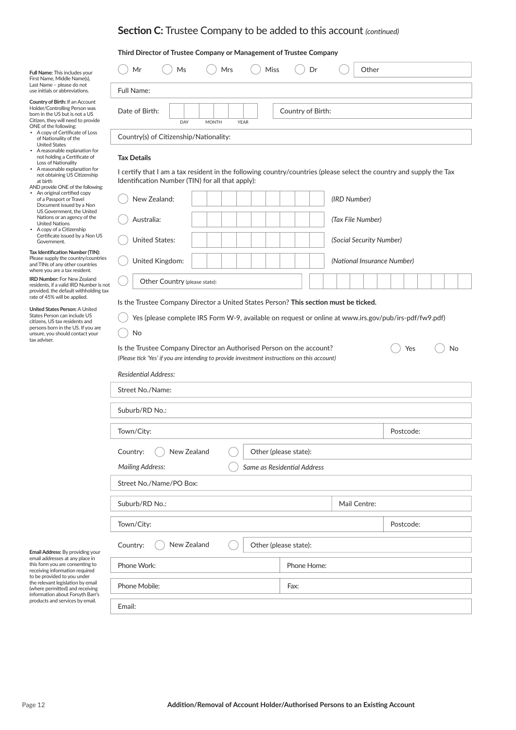## **Third Director of Trustee Company or Management of Trustee Company**

| bur<br>s),                         | Mr                                     | Ms  | Mrs          | Miss        | Dr                | Other |  |
|------------------------------------|----------------------------------------|-----|--------------|-------------|-------------------|-------|--|
|                                    | Full Name:                             |     |              |             |                   |       |  |
| ount<br>was<br><b>US</b><br>rovide | Date of Birth:                         | DAY | <b>MONTH</b> | <b>YEAR</b> | Country of Birth: |       |  |
| Loss                               | Country(s) of Citizenship/Nationality: |     |              |             |                   |       |  |

#### **Tax Details**

No

I certify that I am a tax resident in the following country/countries (please select the country and supply the Tax Identification Number (TIN) for all that apply):

| New Zealand:                  | (IRD Number)                |
|-------------------------------|-----------------------------|
| Australia:                    | (Tax File Number)           |
| <b>United States:</b>         | (Social Security Number)    |
| United Kingdom:               | (National Insurance Number) |
| Other Country (please state): |                             |

### Is the Trustee Company Director a United States Person? This section must be ticked.

Yes (please complete IRS Form W-9, available on request or online at www.irs.gov/pub/irs-pdf/fw9.pdf)

| Is the Trustee Company Director an Authorised Person on the account?                        |
|---------------------------------------------------------------------------------------------|
| (Please tick 'Yes' if you are intending to provide investment instructions on this account) |

| Yes | No |
|-----|----|
|     |    |

| <b>Residential Address:</b>                      |                             |  |           |
|--------------------------------------------------|-----------------------------|--|-----------|
| Street No./Name:                                 |                             |  |           |
| Suburb/RD No.:                                   |                             |  |           |
| Town/City:                                       |                             |  | Postcode: |
| Other (please state):<br>New Zealand<br>Country: |                             |  |           |
| <b>Mailing Address:</b>                          | Same as Residential Address |  |           |
| Street No./Name/PO Box:                          |                             |  |           |
| Suburb/RD No.:<br>Mail Centre:                   |                             |  |           |
| Town/City:                                       |                             |  | Postcode: |
| New Zealand<br>Other (please state):<br>Country: |                             |  |           |
| Phone Work:                                      | Phone Home:                 |  |           |
| Phone Mobile:                                    | Fax:                        |  |           |
| Email:                                           |                             |  |           |

**Full Name:** This includes y First Name, Middle Name Last Name – please do not use initials or abbreviation

**Country of Birth:** If an Accountry Holder/Controlling Person born in the US but is not a Citizen, they will need to provide ONE of the following:

- A copy of Certificate of Loss of Nationality of the
- United States A reasonable explanation for not holding a Certificate of Loss of Nationality • A reasonable explanation for
- not obtaining US Citizenship at birth
- AND provide ONE of the following: • An original certified copy of a Passport or Travel Document issued by a Non US Government, the United Nations or an agency of the<br>United Nations<br>• A copy of a Citizenship
- Certificate issued by a Non US Government.

**Tax Identification Number (TIN):** Please supply the country/countries and TINs of any other countries<br>where you are a tax resident.

**IRD Number:** For New Zealand residents, if a valid IRD Number is not provided, the default withholding tax rate of 45% will be applied.

| <b>United States Person: A United</b> |
|---------------------------------------|
| States Person can include US          |
| citizens. US tax residents and        |
| persons born in the US. If you are    |
| unsure, you should contact your       |
| tax adviser.                          |

email addresses at any place in<br>this form you are consenting to receiving information required to be provided to you under the relevant legislation by email (where permitted) and receiving information about Forsyth Barr's products and services by email.

**Email Address:** By providing your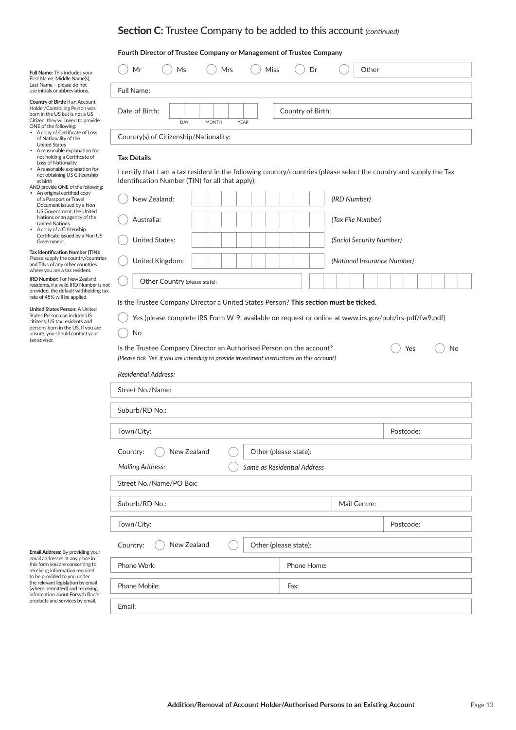## **Fourth Director of Trustee Company or Management of Trustee Company**

| Full Name: This includes your<br>First Name, Middle Name(s),                                                                                                      | Miss<br>Mr<br>Ms<br>Other<br>Mrs<br>Dr                                                                           |  |  |  |  |
|-------------------------------------------------------------------------------------------------------------------------------------------------------------------|------------------------------------------------------------------------------------------------------------------|--|--|--|--|
| Last Name – please do not<br>use initials or abbreviations.                                                                                                       | Full Name:                                                                                                       |  |  |  |  |
| Country of Birth: If an Account<br>Holder/Controlling Person was<br>born in the US but is not a US<br>Citizen, they will need to provide<br>ONE of the following: | Date of Birth:<br>Country of Birth:<br><b>YEAR</b><br>DAY<br><b>MONTH</b>                                        |  |  |  |  |
| • A copy of Certificate of Loss<br>Country(s) of Citizenship/Nationality:<br>of Nationality of the<br><b>United States</b>                                        |                                                                                                                  |  |  |  |  |
| • A reasonable explanation for<br>not holding a Certificate of<br>Loss of Nationality                                                                             | <b>Tax Details</b>                                                                                               |  |  |  |  |
| • A reasonable explanation for                                                                                                                                    | outific that Lam a tax resident in the following country/countries (please select the country and cunnly the Tax |  |  |  |  |

#### **Tax Details**

No

**Tax Islams**<br>• A copy of a Citizenship Certificate issued by a Non US Government. **Tax Identification Number (TIN):** Please supply the country/countries and TINs of any other countries<br>where you are a tax resident. **IRD Number:** For New Zealand residents, if a valid IRD Number is not

not obtaining US Citizenship

AND provide ONE of the following: • An original certified copy of a Passport or Travel Document issued by a Non US Government, the United Nations or an agency of the United Nations • A copy of a Citizenship

at birth

**United States Person:** A United States Person can include US citi zens, US tax residents and persons born in the US. If you are unsure, you should contact your

provided, the default withholding tax rate of 45% will be applied.

tax adviser.

I certify that I am a tax resident in the following country/countries (please select the country and supply the Tax Identification Number (TIN) for all that apply):

| New Zealand:                  | (IRD Number)                |
|-------------------------------|-----------------------------|
| Australia:                    | (Tax File Number)           |
| United States:                | (Social Security Number)    |
| United Kingdom:               | (National Insurance Number) |
| Other Country (please state): |                             |

### Is the Trustee Company Director a United States Person? This section must be ticked.

Yes (please complete IRS Form W-9, available on request or online at www.irs.gov/pub/irs-pdf/fw9.pdf)

| Is the Trustee Company Director an Authorised Person on the account?                        |  |
|---------------------------------------------------------------------------------------------|--|
| (Please tick 'Yes' if you are intending to provide investment instructions on this account) |  |

| Yes | No |
|-----|----|
|     |    |

| <b>Residential Address:</b> |                             |              |           |
|-----------------------------|-----------------------------|--------------|-----------|
| Street No./Name:            |                             |              |           |
| Suburb/RD No.:              |                             |              |           |
| Town/City:                  |                             |              | Postcode: |
| New Zealand<br>Country:     | Other (please state):       |              |           |
| <b>Mailing Address:</b>     | Same as Residential Address |              |           |
| Street No./Name/PO Box:     |                             |              |           |
| Suburb/RD No.:              |                             | Mail Centre: |           |
| Town/City:                  |                             |              | Postcode: |
| New Zealand<br>Country:     | Other (please state):       |              |           |
| Phone Work:                 | Phone Home:                 |              |           |
| Phone Mobile:               | Fax:                        |              |           |
| Email:                      |                             |              |           |

**Email Address:** By providing your email addresses at any place in<br>this form you are consenting to receiving information required to be provided to you under the relevant legislation by email (where permitted) and receiving information about Forsyth Barr's products and services by email.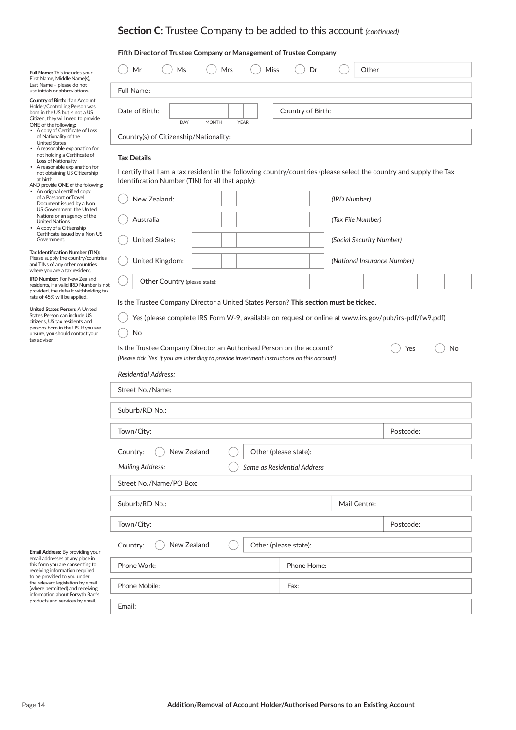## **Fifth Director of Trustee Company or Management of Trustee Company**

| Full Name: This includes your<br>First Name, Middle Name(s),                                                                                                      | <b>Miss</b><br>Mr<br>Ms<br>Mrs<br>Other<br>Dr                             |  |
|-------------------------------------------------------------------------------------------------------------------------------------------------------------------|---------------------------------------------------------------------------|--|
| Last Name - please do not<br>use initials or abbreviations.                                                                                                       | Full Name:                                                                |  |
| Country of Birth: If an Account<br>Holder/Controlling Person was<br>born in the US but is not a US<br>Citizen, they will need to provide<br>ONE of the following: | Country of Birth:<br>Date of Birth:<br>DAY<br><b>MONTH</b><br><b>YEAR</b> |  |
| • A copy of Certificate of Loss<br>of Nationality of the<br><b>United States</b><br>• A reasonable explanation for                                                | Country(s) of Citizenship/Nationality:                                    |  |

#### **Tax Details**

No

• A copy of a Citizenship Preap) of a differential property. Covernment.<br>Government. **Tax Identification Number (TIN):** Please supply the country/countries and TINs of any other countries<br>where you are a tax resident. **IRD Number:** For New Zealand residents, if a valid IRD Number is not

not holding a Certificate of Loss of Nationality • A reasonable explanation for not obtaining US Citizenship at birth AND provide ONE of the following: • An original certified copy of a Passport or Travel Document issued by a Non US Government, the United Nations or an agency of the United Nations

**United States Person:** A United States Person can include US citi zens, US tax residents and persons born in the US. If you are unsure, you should contact your

provided, the default withholding tax rate of 45% will be applied.

tax adviser.

I certify that I am a tax resident in the following country/countries (please select the country and supply the Tax Identification Number (TIN) for all that apply):

| New Zealand:                  |  | (IRD Number)                |
|-------------------------------|--|-----------------------------|
| Australia:                    |  | (Tax File Number)           |
| <b>United States:</b>         |  | (Social Security Number)    |
| United Kingdom:               |  | (National Insurance Number) |
| Other Country (please state): |  |                             |

### Is the Trustee Company Director a United States Person? This section must be ticked.

Yes (please complete IRS Form W-9, available on request or online at www.irs.gov/pub/irs-pdf/fw9.pdf)

| Is the Trustee Company Director an Authorised Person on the account?                        |  |
|---------------------------------------------------------------------------------------------|--|
| (Please tick 'Yes' if you are intending to provide investment instructions on this account) |  |

| <b>Yes</b> | No |
|------------|----|
|            |    |

| <b>Residential Address:</b> |                             |              |
|-----------------------------|-----------------------------|--------------|
| Street No./Name:            |                             |              |
| Suburb/RD No.:              |                             |              |
| Town/City:                  |                             | Postcode:    |
| New Zealand<br>Country:     | Other (please state):       |              |
| <b>Mailing Address:</b>     | Same as Residential Address |              |
| Street No./Name/PO Box:     |                             |              |
| Suburb/RD No.:              |                             | Mail Centre: |
| Town/City:                  |                             | Postcode:    |
|                             |                             |              |
| New Zealand<br>Country:     | Other (please state):       |              |
| Phone Work:                 | Phone Home:                 |              |
|                             |                             |              |
| Phone Mobile:               | Fax:                        |              |

email addresses at any place in<br>this form you are consenting to receiving information required to be provided to you under the relevant legislation by email (where permitted) and receiving information about Forsyth Barr's products and services by email.

**Email Address:** By providing your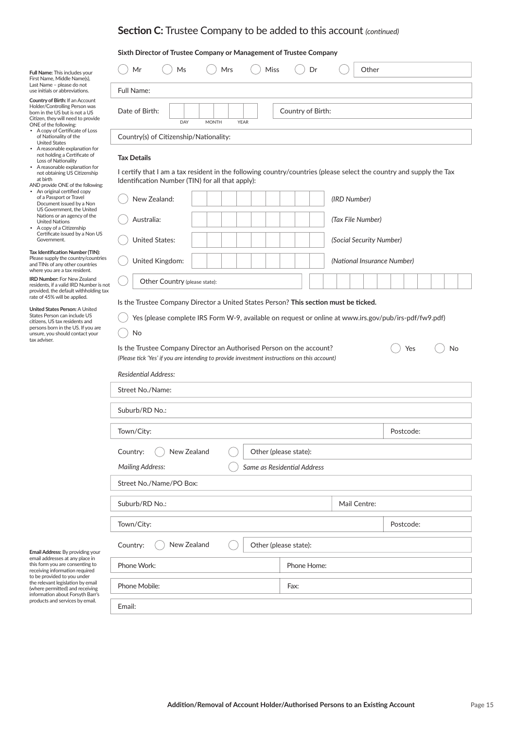#### **Sixth Director of Trustee Company or Management of Trustee Company**

| Full Name: This includes your<br>First Name, Middle Name(s),                                                                                                             | <b>Miss</b><br>Mr<br>Ms<br><b>Mrs</b><br>Other<br>Dr                      |
|--------------------------------------------------------------------------------------------------------------------------------------------------------------------------|---------------------------------------------------------------------------|
| Last Name - please do not<br>use initials or abbreviations.                                                                                                              | Full Name:                                                                |
| <b>Country of Birth: If an Account</b><br>Holder/Controlling Person was<br>born in the US but is not a US<br>Citizen, they will need to provide<br>ONE of the following: | Country of Birth:<br>Date of Birth:<br>DAY<br><b>YEAR</b><br><b>MONTH</b> |
| • A copy of Certificate of Loss<br>of Nationality of the<br><b>United States</b><br>• A reasonable explanation for                                                       | Country(s) of Citizenship/Nationality:                                    |

#### **Tax Details**

No

• A copy of a Citizenship Preap) of a differential property. Covernment.<br>Government. **Tax Identification Number (TIN):** Please supply the country/countries and TINs of any other countries<br>where you are a tax resident. **IRD Number:** For New Zealand residents, if a valid IRD Number is not

not holding a Certificate of Loss of Nationality • A reasonable explanation for not obtaining US Citizenship at birth AND provide ONE of the following: • An original certified copy of a Passport or Travel Document issued by a Non US Government, the United Nations or an agency of the United Nations

**United States Person:** A United States Person can include US citi zens, US tax residents and persons born in the US. If you are unsure, you should contact your

provided, the default withholding tax rate of 45% will be applied.

tax adviser.

I certify that I am a tax resident in the following country/countries (please select the country and supply the Tax Identification Number (TIN) for all that apply):

| New Zealand:                  | (IRD Number)                |
|-------------------------------|-----------------------------|
| Australia:                    | (Tax File Number)           |
| <b>United States:</b>         | (Social Security Number)    |
| United Kingdom:               | (National Insurance Number) |
| Other Country (please state): |                             |

### Is the Trustee Company Director a United States Person? This section must be ticked.

Yes (please complete IRS Form W-9, available on request or online at www.irs.gov/pub/irs-pdf/fw9.pdf)

| Is the Trustee Company Director an Authorised Person on the account?                        |  |
|---------------------------------------------------------------------------------------------|--|
| (Please tick 'Yes' if you are intending to provide investment instructions on this account) |  |

| Yes | No |
|-----|----|
|     |    |

| Street No./Name:        |                             |              |           |
|-------------------------|-----------------------------|--------------|-----------|
| Suburb/RD No.:          |                             |              |           |
| Town/City:              |                             |              | Postcode: |
| New Zealand<br>Country: | Other (please state):       |              |           |
| <b>Mailing Address:</b> | Same as Residential Address |              |           |
| Street No./Name/PO Box: |                             |              |           |
| Suburb/RD No.:          |                             | Mail Centre: |           |
|                         |                             |              |           |
| Town/City:              |                             |              | Postcode: |
| New Zealand<br>Country: | Other (please state):       |              |           |
| Phone Work:             | Phone Home:                 |              |           |
| Phone Mobile:           | Fax:                        |              |           |

**Email Address:** By providing your email addresses at any place in<br>this form you are consenting to receiving information required to be provided to you under the relevant legislation by email (where permitted) and receiving information about Forsyth Barr's products and services by email.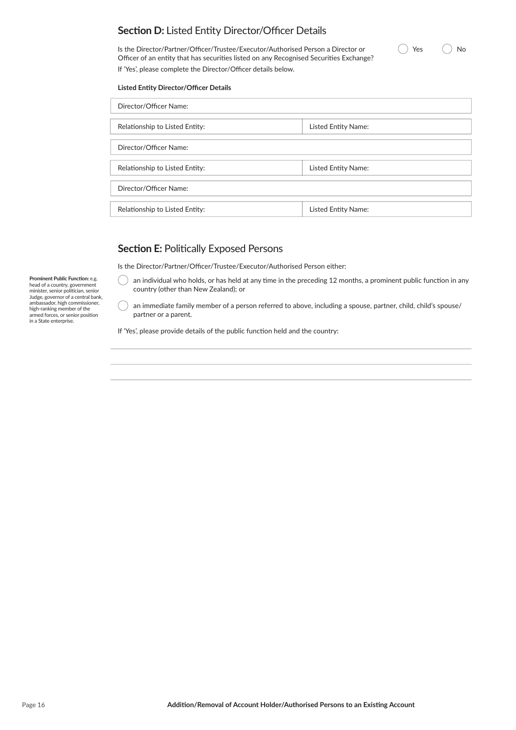# **Section D:** Listed Entity Director/Officer Details

Is the Director/Partner/Officer/Trustee/Executor/Authorised Person a Director or Officer of an entity that has securities listed on any Recognised Securities Exchange? If 'Yes', please complete the Director/Officer details below.

### **Listed Entity Director/Officer Details**

| Director/Officer Name:         |                     |
|--------------------------------|---------------------|
| Relationship to Listed Entity: | Listed Entity Name: |
| Director/Officer Name:         |                     |
| Relationship to Listed Entity: | Listed Entity Name: |
| Director/Officer Name:         |                     |
| Relationship to Listed Entity: | Listed Entity Name: |

# **Section E: Politically Exposed Persons**

Is the Director/Partner/Officer/Trustee/Executor/Authorised Person either:

an individual who holds, or has held at any time in the preceding 12 months, a prominent public function in any country (other than New Zealand); or

an immediate family member of a person referred to above, including a spouse, partner, child, child's spouse/ partner or a parent.

If 'Yes', please provide details of the public function held and the country:

**Prominent Public Function:** e.g.<br>head of a country, government<br>minister, senior politician, senior Judge, governor of a central bank, ambassador, high commissioner, high-ranking member of the armed forces, or senior position<br>in a State enterprise.

Yes No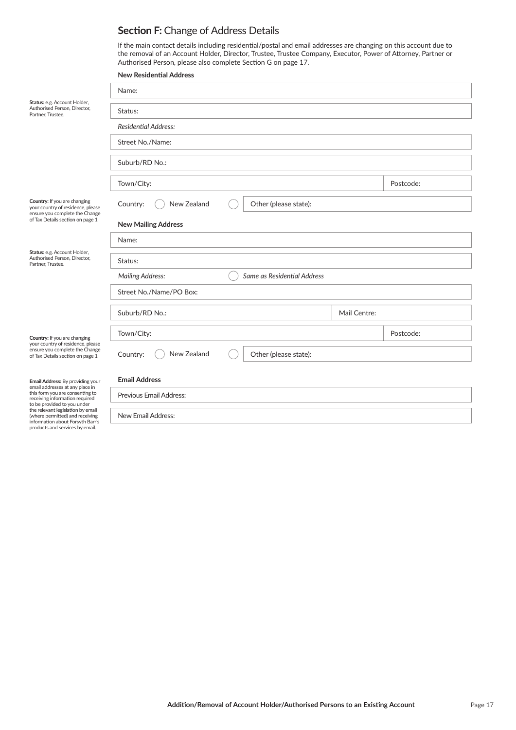# **Section F: Change of Address Details**

If the main contact details including residential/postal and email addresses are changing on this account due to the removal of an Account Holder, Director, Trustee, Trustee Company, Executor, Power of Attorney, Partner or Authorised Person, please also complete Section G on page 17.

|                                                                                                                                         | <b>New Residential Address</b>                         |              |           |
|-----------------------------------------------------------------------------------------------------------------------------------------|--------------------------------------------------------|--------------|-----------|
|                                                                                                                                         | Name:                                                  |              |           |
| Status: e.g. Account Holder,<br>Authorised Person, Director,<br>Partner, Trustee.                                                       | Status:                                                |              |           |
|                                                                                                                                         | <b>Residential Address:</b>                            |              |           |
|                                                                                                                                         | Street No./Name:                                       |              |           |
|                                                                                                                                         | Suburb/RD No.:                                         |              |           |
|                                                                                                                                         | Town/City:                                             |              | Postcode: |
| Country: If you are changing<br>your country of residence, please<br>ensure you complete the Change                                     | New Zealand<br>Other (please state):<br>Country:       |              |           |
| of Tax Details section on page 1                                                                                                        | <b>New Mailing Address</b>                             |              |           |
|                                                                                                                                         | Name:                                                  |              |           |
| Status: e.g. Account Holder,<br>Authorised Person, Director,<br>Partner, Trustee.                                                       | Status:                                                |              |           |
|                                                                                                                                         | <b>Mailing Address:</b><br>Same as Residential Address |              |           |
|                                                                                                                                         | Street No./Name/PO Box:                                |              |           |
|                                                                                                                                         | Suburb/RD No.:                                         | Mail Centre: |           |
| Country: If you are changing                                                                                                            | Town/City:                                             |              | Postcode: |
| your country of residence, please<br>ensure you complete the Change<br>of Tax Details section on page 1                                 | New Zealand<br>Other (please state):<br>Country:       |              |           |
| Email Address: By providing your<br>email addresses at any place in                                                                     | <b>Email Address</b>                                   |              |           |
| this form you are consenting to<br>receiving information required                                                                       | Previous Email Address:                                |              |           |
| to be provided to you under<br>the relevant legislation by email<br>(where permitted) and receiving<br>information about Forsyth Barr's | New Email Address:                                     |              |           |
| products and services by email.                                                                                                         |                                                        |              |           |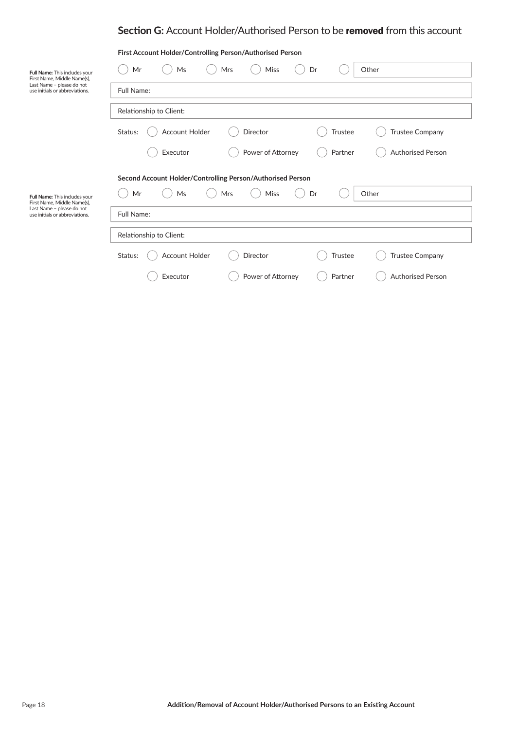# **Section G:** Account Holder/Authorised Person to be removed from this account

|                                                              | First Account Holder/Controlling Person/Authorised Person                                |
|--------------------------------------------------------------|------------------------------------------------------------------------------------------|
| Full Name: This includes your<br>First Name, Middle Name(s), | Mr<br><b>Miss</b><br>Ms<br>Mrs<br>Dr<br>Other                                            |
| Last Name - please do not<br>use initials or abbreviations.  | Full Name:                                                                               |
|                                                              | Relationship to Client:                                                                  |
|                                                              | <b>Account Holder</b><br>Status:<br>Director<br><b>Trustee Company</b><br><b>Trustee</b> |
|                                                              | Power of Attorney<br>Executor<br>Partner<br><b>Authorised Person</b>                     |
|                                                              | Second Account Holder/Controlling Person/Authorised Person                               |
| Full Name: This includes your<br>First Name, Middle Name(s), | Miss<br>Mr<br>Ms<br>Mrs<br>Dr<br>Other                                                   |
| Last Name - please do not<br>use initials or abbreviations.  | Full Name:                                                                               |
|                                                              | Relationship to Client:                                                                  |
|                                                              | <b>Account Holder</b><br>Director<br><b>Trustee Company</b><br>Status:<br><b>Trustee</b> |
|                                                              | Power of Attorney<br><b>Authorised Person</b><br>Executor<br>Partner                     |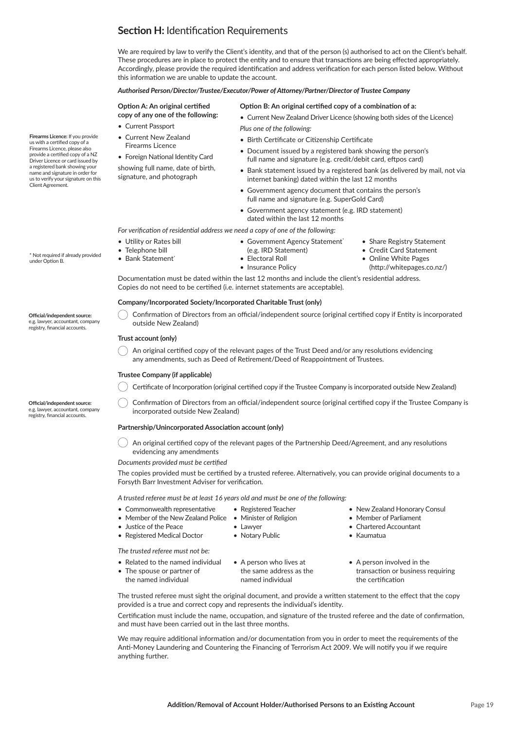# **Section H:** Identification Requirements

We are required by law to verify the Client's identity, and that of the person (s) authorised to act on the Client's behalf. These procedures are in place to protect the entity and to ensure that transactions are being effected appropriately. Accordingly, please provide the required identification and address verification for each person listed below. Without this information we are unable to update the account.

#### *Authorised Person/Director/Trustee/Executor/Power of Attorney/Partner/Director of Trustee Company*

#### **Option A: An original certified copy of any one of the following:**

- Current Passport
- Current New Zealand Firearms Licence
- Foreign National Identity Card

showing full name, date of birth, signature, and photograph

#### **Option B: An original certified copy of a combination of a:**

• Current New Zealand Driver Licence (showing both sides of the Licence) *Plus one of the following:*

- Birth Certificate or Citizenship Certificate
- Document issued by a registered bank showing the person's full name and signature (e.g. credit/debit card, eftpos card)
- Bank statement issued by a registered bank (as delivered by mail, not via internet banking) dated within the last 12 months
- Government agency document that contains the person's full name and signature (e.g. SuperGold Card)
- Government agency statement (e.g. IRD statement) dated within the last 12 months

*For verification of residential address we need a copy of one of the following:* 

- Government Agency Statement<sup>\*</sup>
- (e.g. IRD Statement)
- Electoral Roll
- Insurance Policy
- Share Registry Statement • Credit Card Statement
- Online White Pages
- (http://whitepages.co.nz/)

Documentation must be dated within the last 12 months and include the client's residential address. Copies do not need to be certified (i.e. internet statements are acceptable).

### **Company/Incorporated Society/Incorporated Charitable Trust (only)**

Confirmation of Directors from an official/independent source (original certified copy if Entity is incorporated outside New Zealand)

### **Trust account (only)**

• Utility or Rates bill • Telephone bill • Bank Statement\*

An original certified copy of the relevant pages of the Trust Deed and/or any resolutions evidencing any amendments, such as Deed of Retirement/Deed of Reappointment of Trustees.

### **Trustee Company (if applicable)**

Certificate of Incorporation (original certified copy if the Trustee Company is incorporated outside New Zealand)

Confirmation of Directors from an official/independent source (original certified copy if the Trustee Company is incorporated outside New Zealand)

#### **Partnership/Unincorporated Association account (only)**

An original certified copy of the relevant pages of the Partnership Deed/Agreement, and any resolutions evidencing any amendments

*Documents provided must be certified* 

The copies provided must be certified by a trusted referee. Alternatively, you can provide original documents to a Forsyth Barr Investment Adviser for verification.

#### *A trusted referee must be at least 16 years old and must be one of the following:*

- $\bullet$  Commonwealth representative • Registered Teacher
- Member of the New Zealand Police Minister of Religion

• Lawyer • Notary Public

- Justice of the Peace
- Justice of the Peace<br>• Registered Medical Doctor

• The spouse or partner of the named individual

- The trusted referee must not be:  $\mathcal{L}_{\mathcal{A}}$
- 
- Related to the named individual A person who lives at A person involved • A person who lives at the same address as the named individual
- A person involved in the transaction or business requiring the certification

• New Zealand Honorary Consul • Member of Parliament • Chartered Accountant

• Kaumatua

The trusted referee must sight the original document, and provide a written statement to the effect that the copy provided is a true and correct copy and represents the individual's identity.<br>

Certification must include the name, occupation, and signature of the trusted referee and the date of confirmation, and must have been carried out in the last three months.

We may require additional information and/or documentation from you in order to meet the requirements of the Anti-Money Laundering and Countering the Financing of Terrorism Act 2009. We will notify you if we require anything further.

**Firearms Licence:** If you provide us with a certified copy of a Firearms Licence, please also provide a certified copy of a NZ Driver Licence or card issued by a registered bank showing your name and signature in order for us to verify your signature on this Client Agreement.

**Official/independent source:** 

\* Not required if already provided

under Option B.

e.g. lawyer, accountant, company registry, financial accounts.

**Official/independent source:** 

e.g. lawyer, accountant, company registry, financial accounts.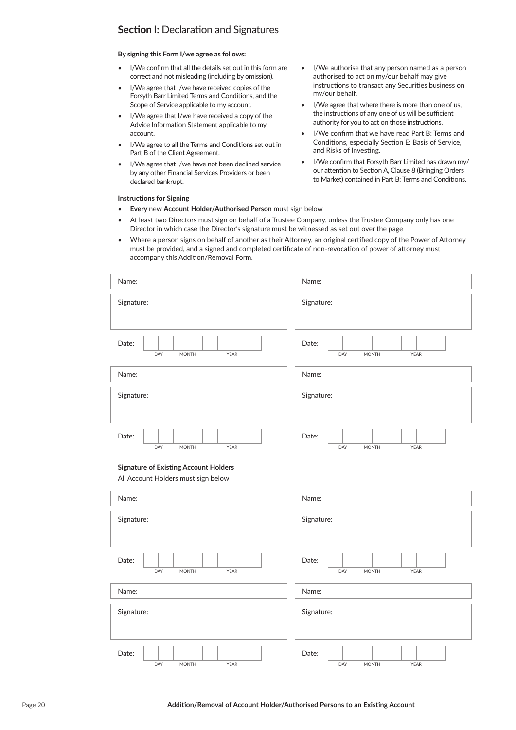# **Section I: Declaration and Signatures**

### **By signing this Form I/we agree as follows:**

- I/We confirm that all the details set out in this form are correct and not misleading (including by omission).
- I/We agree that I/we have received copies of the Forsyth Barr Limited Terms and Conditions, and the Scope of Service applicable to my account.
- I/We agree that I/we have received a copy of the Advice Information Statement applicable to my account.
- I/We agree to all the Terms and Conditions set out in Part B of the Client Agreement.
- I/We agree that I/we have not been declined service by any other Financial Services Providers or been declared bankrupt.

#### **Instructions for Signing**

- **Every** new **Account Holder/Authorised Person** must sign below
- At least two Directors must sign on behalf of a Trustee Company, unless the Trustee Company only has one Director in which case the Director's signature must be witnessed as set out over the page
- Where a person signs on behalf of another as their Attorney, an original certified copy of the Power of Attorney must be provided, and a signed and completed certificate of non-revocation of power of attorney must accompany this Addition/Removal Form.

I/We authorise that any person named as a person authorised to act on my/our behalf may give instructions to transact any Securities business on

I/We agree that where there is more than one of us, the instructions of any one of us will be sufficient authority for you to act on those instructions. I/We confirm that we have read Part B: Terms and Conditions, especially Section E: Basis of Service,

• I/We confirm that Forsyth Barr Limited has drawn my/ our attention to Section A, Clause 8 (Bringing Orders to Market) contained in Part B: Terms and Conditions.

my/our behalf.

and Risks of Investing.

| Name:                                                                               | Name:                                |
|-------------------------------------------------------------------------------------|--------------------------------------|
| Signature:                                                                          | Signature:                           |
| Date:<br>DAY<br><b>YEAR</b><br><b>MONTH</b>                                         | Date:<br>DAY<br><b>MONTH</b><br>YEAR |
| Name:                                                                               | Name:                                |
| Signature:                                                                          | Signature:                           |
| Date:<br><b>MONTH</b><br>DAY<br>YEAR                                                | Date:<br>DAY<br><b>MONTH</b><br>YEAR |
| <b>Signature of Existing Account Holders</b><br>All Account Holders must sign below |                                      |
| Name:                                                                               | Name:                                |
| Signature:                                                                          | Signature:                           |
| Date:<br>DAY<br>MONTH<br>YEAR                                                       | Date:<br>DAY<br><b>MONTH</b><br>YEAR |
| Name:                                                                               | Name:                                |
| Signature:                                                                          | Signature:                           |

DAY MONTH YEAR TEACHER WORKEN MONTH YEAR

Date: | | | | | | | | | | | Date: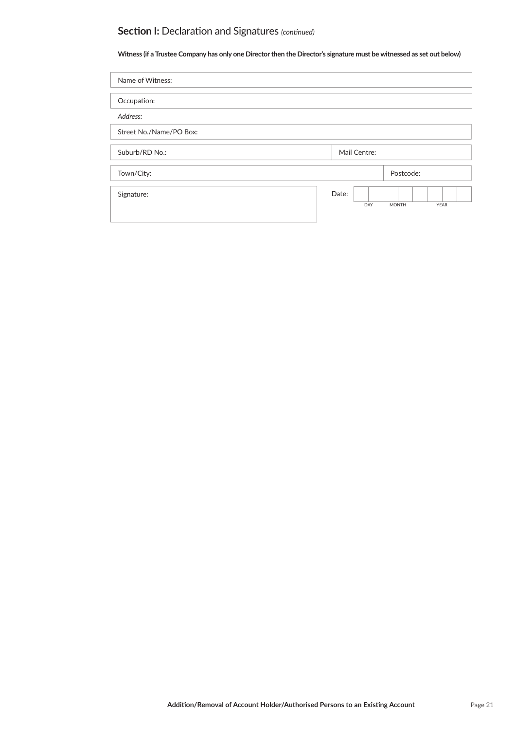# **Section I:** Declaration and Signatures *(continued)*

**Witness (if a Trustee Company has only one Director then the Director's signature must be witnessed as set out below)**

| Name of Witness:        |       |              |              |             |
|-------------------------|-------|--------------|--------------|-------------|
|                         |       |              |              |             |
| Occupation:             |       |              |              |             |
| Address:                |       |              |              |             |
| Street No./Name/PO Box: |       |              |              |             |
|                         |       |              |              |             |
| Suburb/RD No.:          |       | Mail Centre: |              |             |
|                         |       |              |              |             |
| Town/City:              |       |              | Postcode:    |             |
|                         |       |              |              |             |
| Signature:              | Date: | DAY          | <b>MONTH</b> | <b>YEAR</b> |
|                         |       |              |              |             |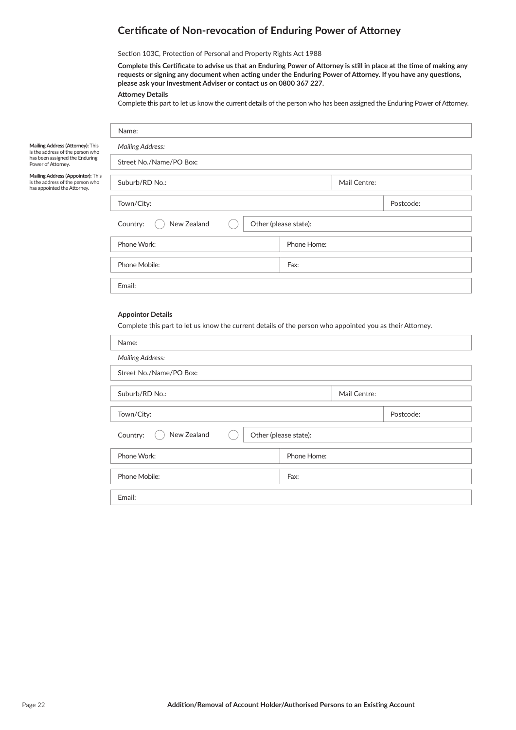# **Certificate of Non-revocation of Enduring Power of Attorney**

Section 103C, Protection of Personal and Property Rights Act 1988

Complete this Certificate to advise us that an Enduring Power of Attorney is still in place at the time of making any requests or signing any document when acting under the Enduring Power of Attorney. If you have any questions, **please ask your Investment Adviser or contact us on 0800 367 227.**

#### **Att orney Details**

Name:

Complete this part to let us know the current details of the person who has been assigned the Enduring Power of Attorney.

| Mailing Address (Attorney): This |
|----------------------------------|
| is the address of the person who |
| has been assigned the Enduring   |
| Power of Attorney.               |

**Mailing Address (Appointor):** This is the address of the person who has appointed the Attorney.

| <b>Mailing Address:</b> |                       |              |           |
|-------------------------|-----------------------|--------------|-----------|
| Street No./Name/PO Box: |                       |              |           |
| Suburb/RD No.:          |                       | Mail Centre: |           |
| Town/City:              |                       |              | Postcode: |
| New Zealand<br>Country: | Other (please state): |              |           |
| Phone Work:             | Phone Home:           |              |           |
| Phone Mobile:           | Fax:                  |              |           |
| Email:                  |                       |              |           |

### **Appointor Details**

Complete this part to let us know the current details of the person who appointed you as their Attorney.

| Name:                   |                       |              |           |
|-------------------------|-----------------------|--------------|-----------|
| <b>Mailing Address:</b> |                       |              |           |
| Street No./Name/PO Box: |                       |              |           |
|                         |                       |              |           |
| Suburb/RD No.:          |                       | Mail Centre: |           |
|                         |                       |              |           |
| Town/City:              |                       |              | Postcode: |
|                         |                       |              |           |
| New Zealand<br>Country: | Other (please state): |              |           |
|                         |                       |              |           |
| Phone Work:             | Phone Home:           |              |           |
|                         |                       |              |           |
| Phone Mobile:           | Fax:                  |              |           |
|                         |                       |              |           |
| Email:                  |                       |              |           |